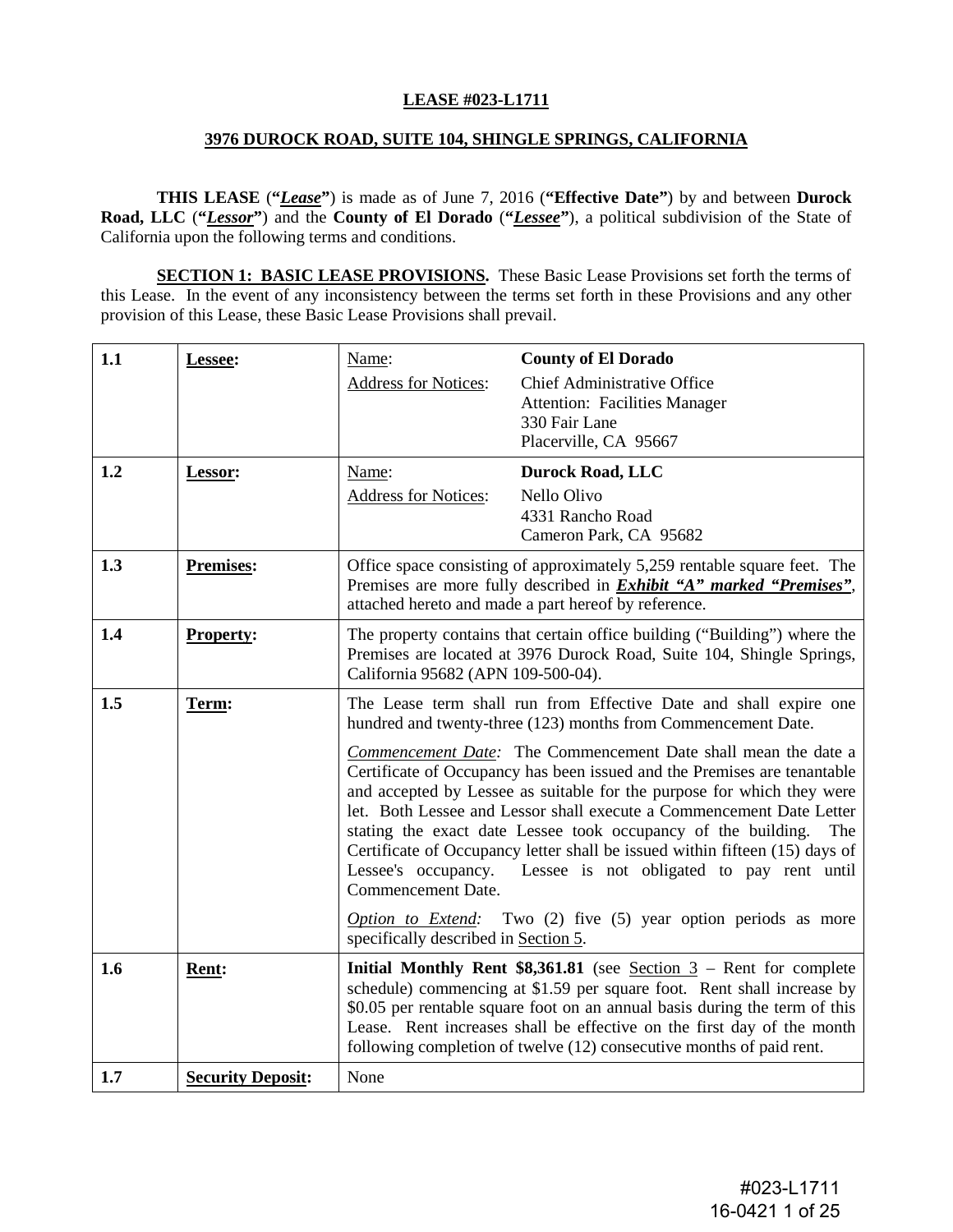#### **LEASE #023-L1711**

#### **3976 DUROCK ROAD, SUITE 104, SHINGLE SPRINGS, CALIFORNIA**

**THIS LEASE** (**"***Lease***"**) is made as of June 7, 2016 (**"Effective Date"**) by and between **Durock Road, LLC** (**"***Lessor***"**) and the **County of El Dorado** (**"***Lessee***"**), a political subdivision of the State of California upon the following terms and conditions.

**SECTION 1: BASIC LEASE PROVISIONS.** These Basic Lease Provisions set forth the terms of this Lease. In the event of any inconsistency between the terms set forth in these Provisions and any other provision of this Lease, these Basic Lease Provisions shall prevail.

| 1.1 | Lessee:                  | Name:<br><b>Address for Notices:</b>                                                                                                                                                                                                                                                                                                                                                                                                                                                                                                                                                                                                                                                                                                                                                                  | <b>County of El Dorado</b><br><b>Chief Administrative Office</b><br><b>Attention: Facilities Manager</b><br>330 Fair Lane<br>Placerville, CA 95667 |  |  |  |
|-----|--------------------------|-------------------------------------------------------------------------------------------------------------------------------------------------------------------------------------------------------------------------------------------------------------------------------------------------------------------------------------------------------------------------------------------------------------------------------------------------------------------------------------------------------------------------------------------------------------------------------------------------------------------------------------------------------------------------------------------------------------------------------------------------------------------------------------------------------|----------------------------------------------------------------------------------------------------------------------------------------------------|--|--|--|
| 1.2 | Lessor:                  | Name:<br><b>Address for Notices:</b>                                                                                                                                                                                                                                                                                                                                                                                                                                                                                                                                                                                                                                                                                                                                                                  | <b>Durock Road, LLC</b><br>Nello Olivo<br>4331 Rancho Road<br>Cameron Park, CA 95682                                                               |  |  |  |
| 1.3 | <b>Premises:</b>         | Office space consisting of approximately 5,259 rentable square feet. The<br>Premises are more fully described in <i>Exhibit "A" marked "Premises"</i> ,<br>attached hereto and made a part hereof by reference.                                                                                                                                                                                                                                                                                                                                                                                                                                                                                                                                                                                       |                                                                                                                                                    |  |  |  |
| 1.4 | <b>Property:</b>         | The property contains that certain office building ("Building") where the<br>Premises are located at 3976 Durock Road, Suite 104, Shingle Springs,<br>California 95682 (APN 109-500-04).                                                                                                                                                                                                                                                                                                                                                                                                                                                                                                                                                                                                              |                                                                                                                                                    |  |  |  |
| 1.5 | Term:                    | The Lease term shall run from Effective Date and shall expire one<br>hundred and twenty-three (123) months from Commencement Date.<br>Commencement Date: The Commencement Date shall mean the date a<br>Certificate of Occupancy has been issued and the Premises are tenantable<br>and accepted by Lessee as suitable for the purpose for which they were<br>let. Both Lessee and Lessor shall execute a Commencement Date Letter<br>stating the exact date Lessee took occupancy of the building.<br>The<br>Certificate of Occupancy letter shall be issued within fifteen (15) days of<br>Lessee's occupancy. Lessee is not obligated to pay rent until<br>Commencement Date.<br><i>Option to Extend:</i> Two $(2)$ five $(5)$ year option periods as more<br>specifically described in Section 5. |                                                                                                                                                    |  |  |  |
| 1.6 | <b>Rent:</b>             | <b>Initial Monthly Rent \$8,361.81</b> (see Section $3$ – Rent for complete<br>schedule) commencing at \$1.59 per square foot. Rent shall increase by<br>\$0.05 per rentable square foot on an annual basis during the term of this<br>Lease. Rent increases shall be effective on the first day of the month<br>following completion of twelve (12) consecutive months of paid rent.                                                                                                                                                                                                                                                                                                                                                                                                                 |                                                                                                                                                    |  |  |  |
| 1.7 | <b>Security Deposit:</b> | None                                                                                                                                                                                                                                                                                                                                                                                                                                                                                                                                                                                                                                                                                                                                                                                                  |                                                                                                                                                    |  |  |  |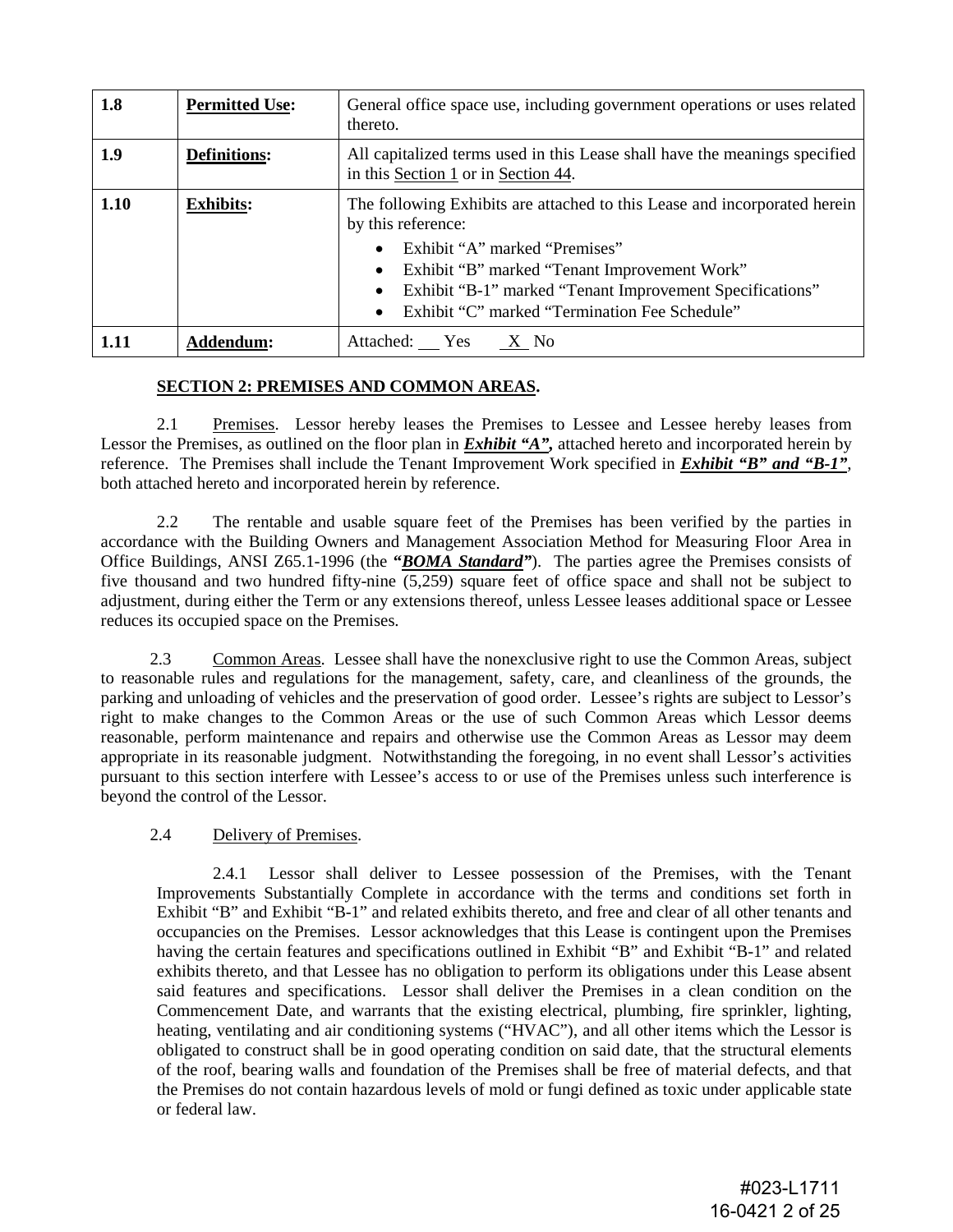| 1.8  | <b>Permitted Use:</b> | General office space use, including government operations or uses related<br>thereto.                                                                                                                                                                                                                      |  |  |
|------|-----------------------|------------------------------------------------------------------------------------------------------------------------------------------------------------------------------------------------------------------------------------------------------------------------------------------------------------|--|--|
| 1.9  | <b>Definitions:</b>   | All capitalized terms used in this Lease shall have the meanings specified<br>in this Section 1 or in Section 44.                                                                                                                                                                                          |  |  |
| 1.10 | <b>Exhibits:</b>      | The following Exhibits are attached to this Lease and incorporated herein<br>by this reference:<br>Exhibit "A" marked "Premises"<br>$\bullet$<br>Exhibit "B" marked "Tenant Improvement Work"<br>Exhibit "B-1" marked "Tenant Improvement Specifications"<br>Exhibit "C" marked "Termination Fee Schedule" |  |  |
| 1.11 | Addendum:             | Attached: Yes<br>X No                                                                                                                                                                                                                                                                                      |  |  |

# **SECTION 2: PREMISES AND COMMON AREAS.**

2.1 Premises. Lessor hereby leases the Premises to Lessee and Lessee hereby leases from Lessor the Premises, as outlined on the floor plan in **Exhibit "A"**, attached hereto and incorporated herein by reference. The Premises shall include the Tenant Improvement Work specified in *Exhibit "B" and "B-1"*, both attached hereto and incorporated herein by reference.

2.2 The rentable and usable square feet of the Premises has been verified by the parties in accordance with the Building Owners and Management Association Method for Measuring Floor Area in Office Buildings, ANSI Z65.1-1996 (the **"***BOMA Standard"*). The parties agree the Premises consists of five thousand and two hundred fifty-nine (5,259) square feet of office space and shall not be subject to adjustment, during either the Term or any extensions thereof, unless Lessee leases additional space or Lessee reduces its occupied space on the Premises.

2.3 Common Areas. Lessee shall have the nonexclusive right to use the Common Areas, subject to reasonable rules and regulations for the management, safety, care, and cleanliness of the grounds, the parking and unloading of vehicles and the preservation of good order. Lessee's rights are subject to Lessor's right to make changes to the Common Areas or the use of such Common Areas which Lessor deems reasonable, perform maintenance and repairs and otherwise use the Common Areas as Lessor may deem appropriate in its reasonable judgment. Notwithstanding the foregoing, in no event shall Lessor's activities pursuant to this section interfere with Lessee's access to or use of the Premises unless such interference is beyond the control of the Lessor.

# 2.4 Delivery of Premises.

2.4.1 Lessor shall deliver to Lessee possession of the Premises, with the Tenant Improvements Substantially Complete in accordance with the terms and conditions set forth in Exhibit "B" and Exhibit "B-1" and related exhibits thereto, and free and clear of all other tenants and occupancies on the Premises. Lessor acknowledges that this Lease is contingent upon the Premises having the certain features and specifications outlined in Exhibit "B" and Exhibit "B-1" and related exhibits thereto, and that Lessee has no obligation to perform its obligations under this Lease absent said features and specifications. Lessor shall deliver the Premises in a clean condition on the Commencement Date, and warrants that the existing electrical, plumbing, fire sprinkler, lighting, heating, ventilating and air conditioning systems ("HVAC"), and all other items which the Lessor is obligated to construct shall be in good operating condition on said date, that the structural elements of the roof, bearing walls and foundation of the Premises shall be free of material defects, and that the Premises do not contain hazardous levels of mold or fungi defined as toxic under applicable state or federal law.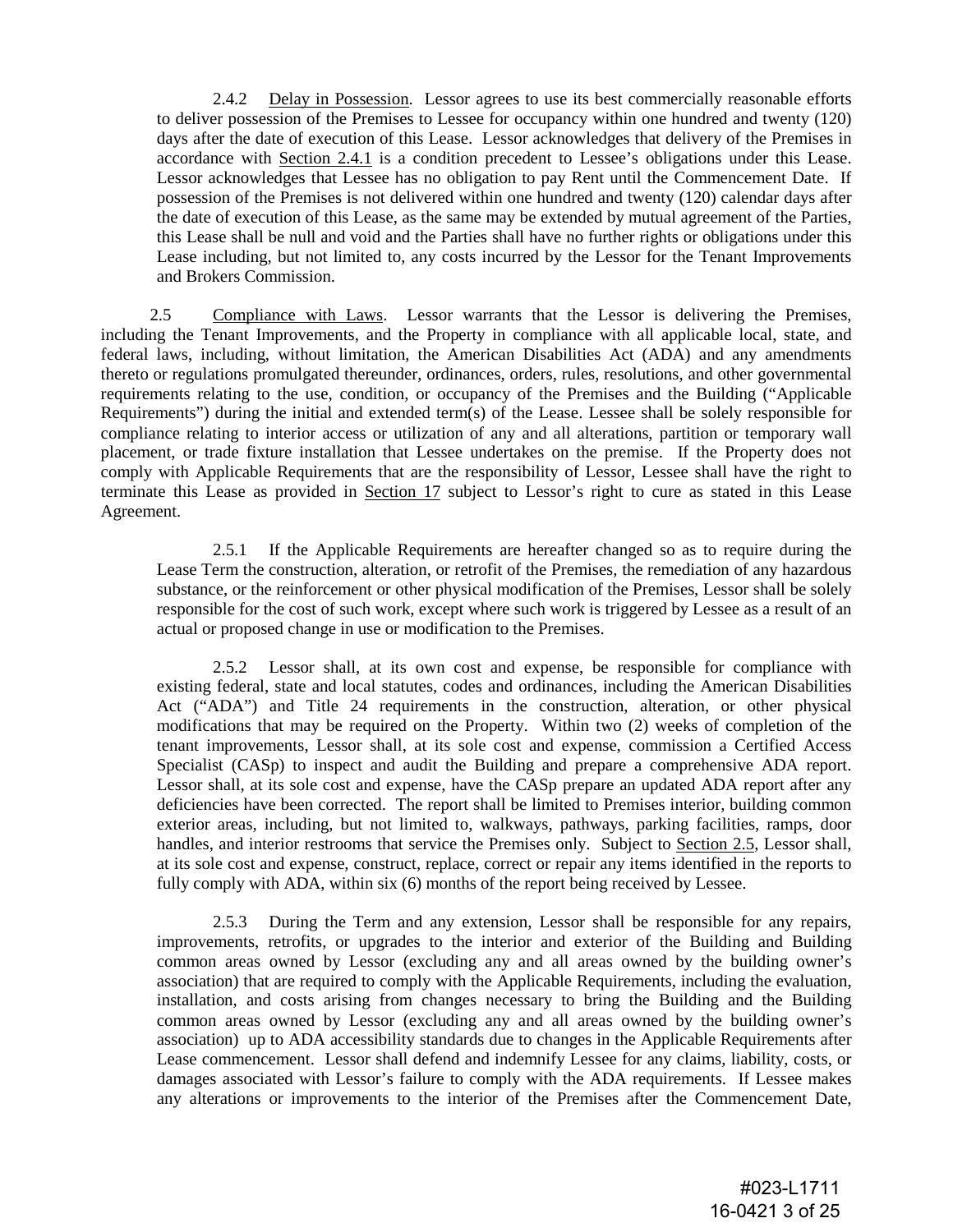2.4.2 Delay in Possession. Lessor agrees to use its best commercially reasonable efforts to deliver possession of the Premises to Lessee for occupancy within one hundred and twenty (120) days after the date of execution of this Lease. Lessor acknowledges that delivery of the Premises in accordance with Section 2.4.1 is a condition precedent to Lessee's obligations under this Lease. Lessor acknowledges that Lessee has no obligation to pay Rent until the Commencement Date. If possession of the Premises is not delivered within one hundred and twenty (120) calendar days after the date of execution of this Lease, as the same may be extended by mutual agreement of the Parties, this Lease shall be null and void and the Parties shall have no further rights or obligations under this Lease including, but not limited to, any costs incurred by the Lessor for the Tenant Improvements and Brokers Commission.

2.5 Compliance with Laws. Lessor warrants that the Lessor is delivering the Premises, including the Tenant Improvements, and the Property in compliance with all applicable local, state, and federal laws, including, without limitation, the American Disabilities Act (ADA) and any amendments thereto or regulations promulgated thereunder, ordinances, orders, rules, resolutions, and other governmental requirements relating to the use, condition, or occupancy of the Premises and the Building ("Applicable Requirements") during the initial and extended term(s) of the Lease. Lessee shall be solely responsible for compliance relating to interior access or utilization of any and all alterations, partition or temporary wall placement, or trade fixture installation that Lessee undertakes on the premise. If the Property does not comply with Applicable Requirements that are the responsibility of Lessor, Lessee shall have the right to terminate this Lease as provided in Section 17 subject to Lessor's right to cure as stated in this Lease Agreement.

2.5.1 If the Applicable Requirements are hereafter changed so as to require during the Lease Term the construction, alteration, or retrofit of the Premises, the remediation of any hazardous substance, or the reinforcement or other physical modification of the Premises, Lessor shall be solely responsible for the cost of such work, except where such work is triggered by Lessee as a result of an actual or proposed change in use or modification to the Premises.

2.5.2 Lessor shall, at its own cost and expense, be responsible for compliance with existing federal, state and local statutes, codes and ordinances, including the American Disabilities Act ("ADA") and Title 24 requirements in the construction, alteration, or other physical modifications that may be required on the Property. Within two (2) weeks of completion of the tenant improvements, Lessor shall, at its sole cost and expense, commission a Certified Access Specialist (CASp) to inspect and audit the Building and prepare a comprehensive ADA report. Lessor shall, at its sole cost and expense, have the CASp prepare an updated ADA report after any deficiencies have been corrected. The report shall be limited to Premises interior, building common exterior areas, including, but not limited to, walkways, pathways, parking facilities, ramps, door handles, and interior restrooms that service the Premises only. Subject to Section 2.5, Lessor shall, at its sole cost and expense, construct, replace, correct or repair any items identified in the reports to fully comply with ADA, within six (6) months of the report being received by Lessee.

2.5.3 During the Term and any extension, Lessor shall be responsible for any repairs, improvements, retrofits, or upgrades to the interior and exterior of the Building and Building common areas owned by Lessor (excluding any and all areas owned by the building owner's association) that are required to comply with the Applicable Requirements, including the evaluation, installation, and costs arising from changes necessary to bring the Building and the Building common areas owned by Lessor (excluding any and all areas owned by the building owner's association) up to ADA accessibility standards due to changes in the Applicable Requirements after Lease commencement. Lessor shall defend and indemnify Lessee for any claims, liability, costs, or damages associated with Lessor's failure to comply with the ADA requirements. If Lessee makes any alterations or improvements to the interior of the Premises after the Commencement Date,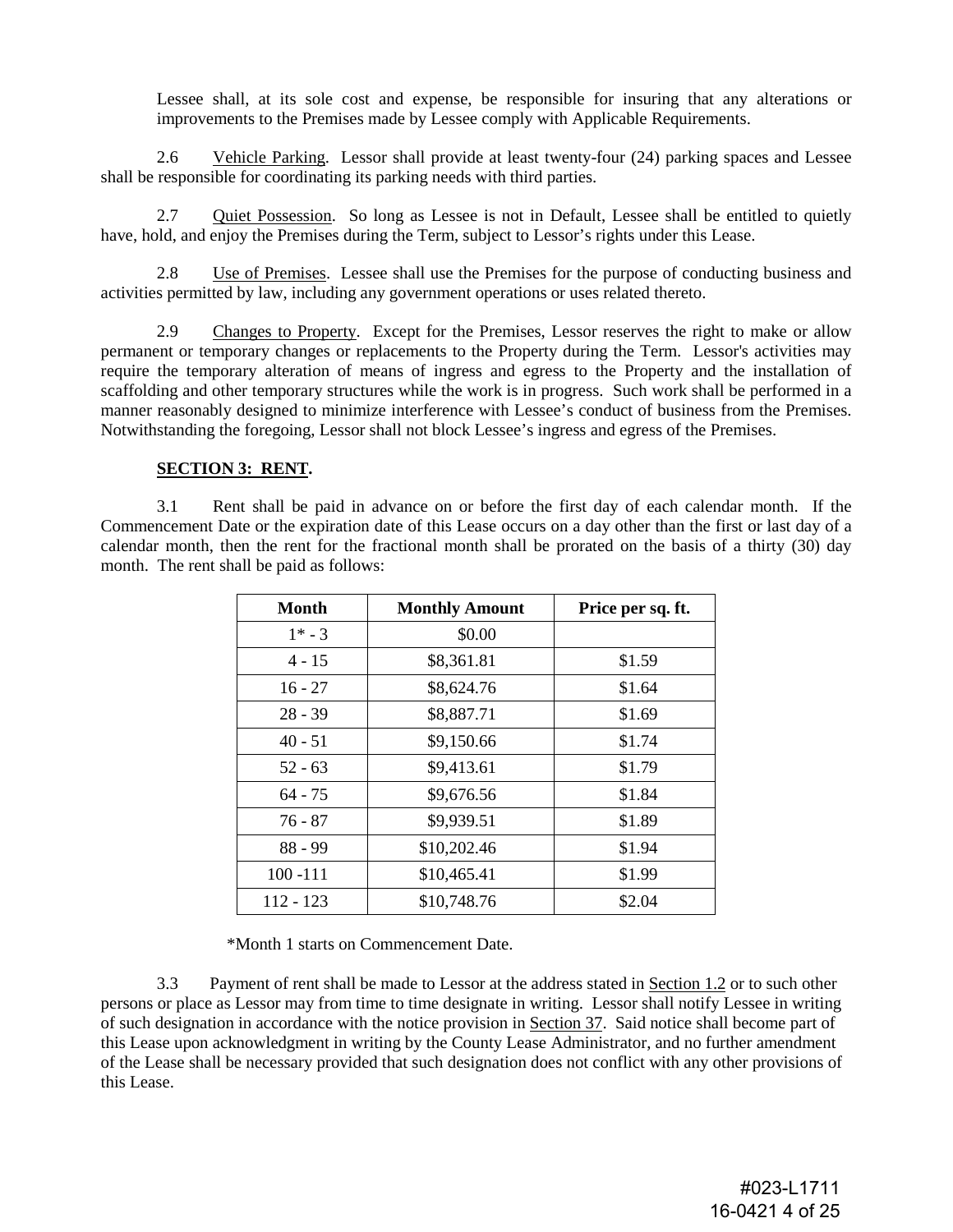Lessee shall, at its sole cost and expense, be responsible for insuring that any alterations or improvements to the Premises made by Lessee comply with Applicable Requirements.

2.6 Vehicle Parking. Lessor shall provide at least twenty-four (24) parking spaces and Lessee shall be responsible for coordinating its parking needs with third parties.

2.7 Quiet Possession. So long as Lessee is not in Default, Lessee shall be entitled to quietly have, hold, and enjoy the Premises during the Term, subject to Lessor's rights under this Lease.

2.8 Use of Premises. Lessee shall use the Premises for the purpose of conducting business and activities permitted by law, including any government operations or uses related thereto.

2.9 Changes to Property. Except for the Premises, Lessor reserves the right to make or allow permanent or temporary changes or replacements to the Property during the Term. Lessor's activities may require the temporary alteration of means of ingress and egress to the Property and the installation of scaffolding and other temporary structures while the work is in progress. Such work shall be performed in a manner reasonably designed to minimize interference with Lessee's conduct of business from the Premises. Notwithstanding the foregoing, Lessor shall not block Lessee's ingress and egress of the Premises.

#### **SECTION 3: RENT.**

3.1 Rent shall be paid in advance on or before the first day of each calendar month. If the Commencement Date or the expiration date of this Lease occurs on a day other than the first or last day of a calendar month, then the rent for the fractional month shall be prorated on the basis of a thirty (30) day month. The rent shall be paid as follows:

| Month       | <b>Monthly Amount</b> | Price per sq. ft. |  |  |
|-------------|-----------------------|-------------------|--|--|
| $1* - 3$    | \$0.00                |                   |  |  |
| $4 - 15$    | \$8,361.81            | \$1.59            |  |  |
| $16 - 27$   | \$8,624.76            | \$1.64            |  |  |
| $28 - 39$   | \$8,887.71            | \$1.69            |  |  |
| $40 - 51$   | \$9,150.66            | \$1.74            |  |  |
| $52 - 63$   | \$9,413.61            | \$1.79            |  |  |
| $64 - 75$   | \$9,676.56            | \$1.84            |  |  |
| $76 - 87$   | \$9,939.51            | \$1.89            |  |  |
| $88 - 99$   | \$10,202.46           | \$1.94            |  |  |
| $100 - 111$ | \$10,465.41           | \$1.99            |  |  |
| 112 - 123   | \$10,748.76           | \$2.04            |  |  |

\*Month 1 starts on Commencement Date.

3.3 Payment of rent shall be made to Lessor at the address stated in Section 1.2 or to such other persons or place as Lessor may from time to time designate in writing. Lessor shall notify Lessee in writing of such designation in accordance with the notice provision in Section 37. Said notice shall become part of this Lease upon acknowledgment in writing by the County Lease Administrator, and no further amendment of the Lease shall be necessary provided that such designation does not conflict with any other provisions of this Lease.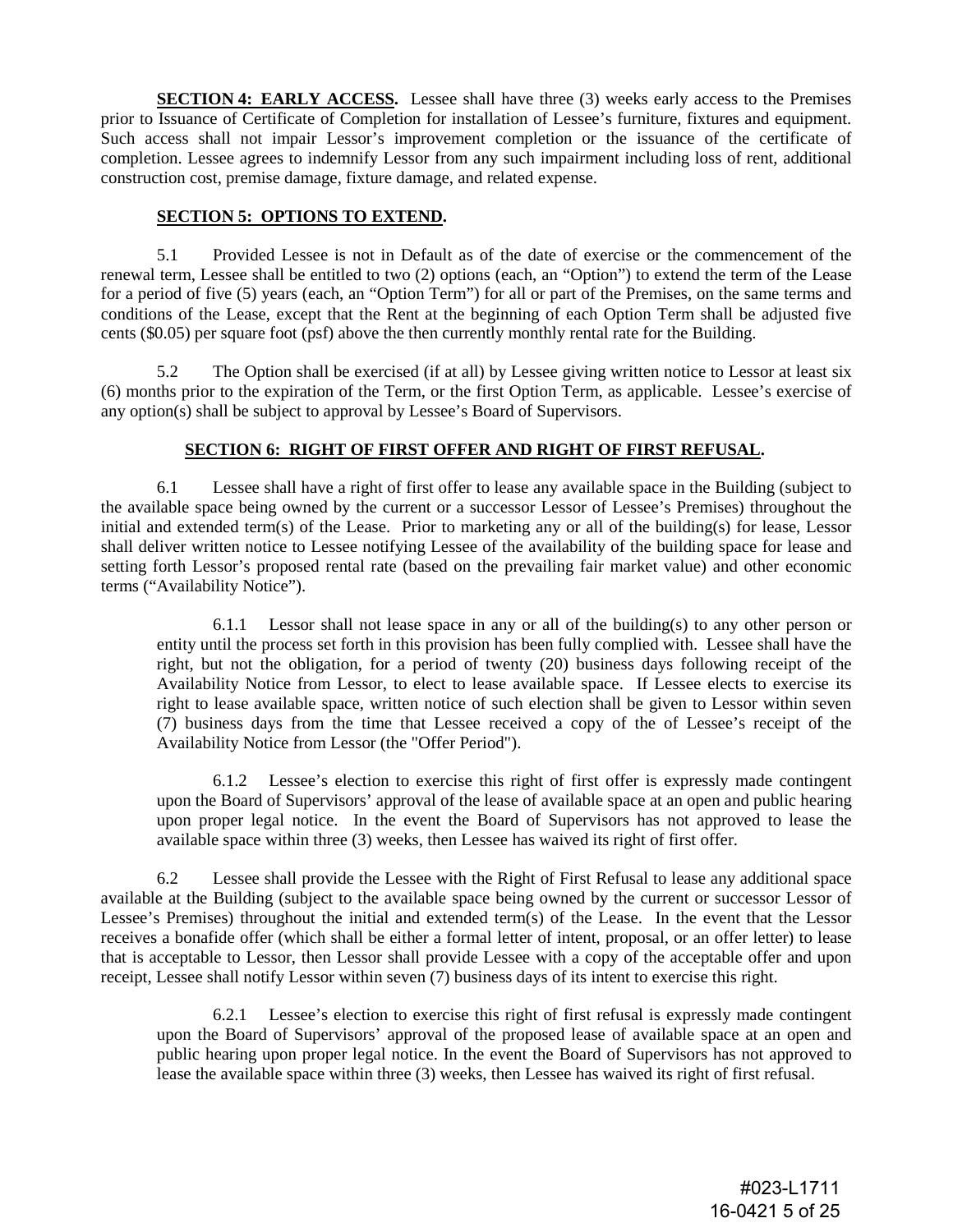**SECTION 4: EARLY ACCESS.** Lessee shall have three (3) weeks early access to the Premises prior to Issuance of Certificate of Completion for installation of Lessee's furniture, fixtures and equipment. Such access shall not impair Lessor's improvement completion or the issuance of the certificate of completion. Lessee agrees to indemnify Lessor from any such impairment including loss of rent, additional construction cost, premise damage, fixture damage, and related expense.

#### **SECTION 5: OPTIONS TO EXTEND.**

5.1 Provided Lessee is not in Default as of the date of exercise or the commencement of the renewal term, Lessee shall be entitled to two (2) options (each, an "Option") to extend the term of the Lease for a period of five (5) years (each, an "Option Term") for all or part of the Premises, on the same terms and conditions of the Lease, except that the Rent at the beginning of each Option Term shall be adjusted five cents (\$0.05) per square foot (psf) above the then currently monthly rental rate for the Building.

5.2 The Option shall be exercised (if at all) by Lessee giving written notice to Lessor at least six (6) months prior to the expiration of the Term, or the first Option Term, as applicable. Lessee's exercise of any option(s) shall be subject to approval by Lessee's Board of Supervisors.

# **SECTION 6: RIGHT OF FIRST OFFER AND RIGHT OF FIRST REFUSAL.**

6.1 Lessee shall have a right of first offer to lease any available space in the Building (subject to the available space being owned by the current or a successor Lessor of Lessee's Premises) throughout the initial and extended term(s) of the Lease. Prior to marketing any or all of the building(s) for lease, Lessor shall deliver written notice to Lessee notifying Lessee of the availability of the building space for lease and setting forth Lessor's proposed rental rate (based on the prevailing fair market value) and other economic terms ("Availability Notice").

6.1.1 Lessor shall not lease space in any or all of the building(s) to any other person or entity until the process set forth in this provision has been fully complied with. Lessee shall have the right, but not the obligation, for a period of twenty (20) business days following receipt of the Availability Notice from Lessor, to elect to lease available space. If Lessee elects to exercise its right to lease available space, written notice of such election shall be given to Lessor within seven (7) business days from the time that Lessee received a copy of the of Lessee's receipt of the Availability Notice from Lessor (the "Offer Period").

6.1.2 Lessee's election to exercise this right of first offer is expressly made contingent upon the Board of Supervisors' approval of the lease of available space at an open and public hearing upon proper legal notice. In the event the Board of Supervisors has not approved to lease the available space within three (3) weeks, then Lessee has waived its right of first offer.

6.2 Lessee shall provide the Lessee with the Right of First Refusal to lease any additional space available at the Building (subject to the available space being owned by the current or successor Lessor of Lessee's Premises) throughout the initial and extended term(s) of the Lease. In the event that the Lessor receives a bonafide offer (which shall be either a formal letter of intent, proposal, or an offer letter) to lease that is acceptable to Lessor, then Lessor shall provide Lessee with a copy of the acceptable offer and upon receipt, Lessee shall notify Lessor within seven (7) business days of its intent to exercise this right.

6.2.1 Lessee's election to exercise this right of first refusal is expressly made contingent upon the Board of Supervisors' approval of the proposed lease of available space at an open and public hearing upon proper legal notice. In the event the Board of Supervisors has not approved to lease the available space within three (3) weeks, then Lessee has waived its right of first refusal.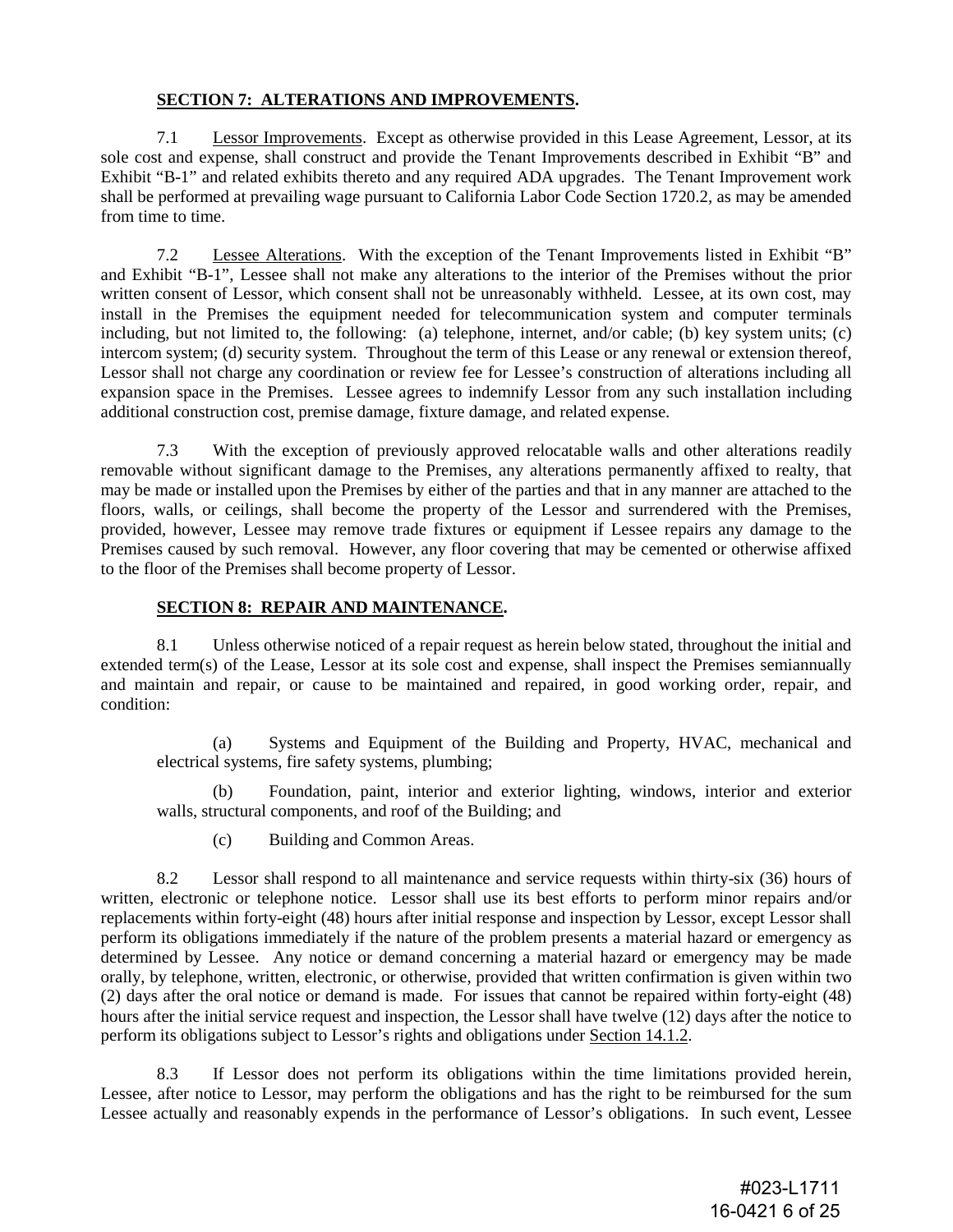# **SECTION 7: ALTERATIONS AND IMPROVEMENTS.**

7.1 Lessor Improvements. Except as otherwise provided in this Lease Agreement, Lessor, at its sole cost and expense, shall construct and provide the Tenant Improvements described in Exhibit "B" and Exhibit "B-1" and related exhibits thereto and any required ADA upgrades. The Tenant Improvement work shall be performed at prevailing wage pursuant to California Labor Code Section 1720.2, as may be amended from time to time.

7.2 Lessee Alterations. With the exception of the Tenant Improvements listed in Exhibit "B" and Exhibit "B-1", Lessee shall not make any alterations to the interior of the Premises without the prior written consent of Lessor, which consent shall not be unreasonably withheld. Lessee, at its own cost, may install in the Premises the equipment needed for telecommunication system and computer terminals including, but not limited to, the following: (a) telephone, internet, and/or cable; (b) key system units; (c) intercom system; (d) security system. Throughout the term of this Lease or any renewal or extension thereof, Lessor shall not charge any coordination or review fee for Lessee's construction of alterations including all expansion space in the Premises. Lessee agrees to indemnify Lessor from any such installation including additional construction cost, premise damage, fixture damage, and related expense.

7.3 With the exception of previously approved relocatable walls and other alterations readily removable without significant damage to the Premises, any alterations permanently affixed to realty, that may be made or installed upon the Premises by either of the parties and that in any manner are attached to the floors, walls, or ceilings, shall become the property of the Lessor and surrendered with the Premises, provided, however, Lessee may remove trade fixtures or equipment if Lessee repairs any damage to the Premises caused by such removal. However, any floor covering that may be cemented or otherwise affixed to the floor of the Premises shall become property of Lessor.

# **SECTION 8: REPAIR AND MAINTENANCE.**

8.1 Unless otherwise noticed of a repair request as herein below stated, throughout the initial and extended term(s) of the Lease, Lessor at its sole cost and expense, shall inspect the Premises semiannually and maintain and repair, or cause to be maintained and repaired, in good working order, repair, and condition:

(a) Systems and Equipment of the Building and Property, HVAC, mechanical and electrical systems, fire safety systems, plumbing;

(b) Foundation, paint, interior and exterior lighting, windows, interior and exterior walls, structural components, and roof of the Building; and

(c) Building and Common Areas.

8.2 Lessor shall respond to all maintenance and service requests within thirty-six (36) hours of written, electronic or telephone notice. Lessor shall use its best efforts to perform minor repairs and/or replacements within forty-eight (48) hours after initial response and inspection by Lessor, except Lessor shall perform its obligations immediately if the nature of the problem presents a material hazard or emergency as determined by Lessee. Any notice or demand concerning a material hazard or emergency may be made orally, by telephone, written, electronic, or otherwise, provided that written confirmation is given within two (2) days after the oral notice or demand is made. For issues that cannot be repaired within forty-eight (48) hours after the initial service request and inspection, the Lessor shall have twelve (12) days after the notice to perform its obligations subject to Lessor's rights and obligations under Section 14.1.2.

8.3 If Lessor does not perform its obligations within the time limitations provided herein, Lessee, after notice to Lessor, may perform the obligations and has the right to be reimbursed for the sum Lessee actually and reasonably expends in the performance of Lessor's obligations. In such event, Lessee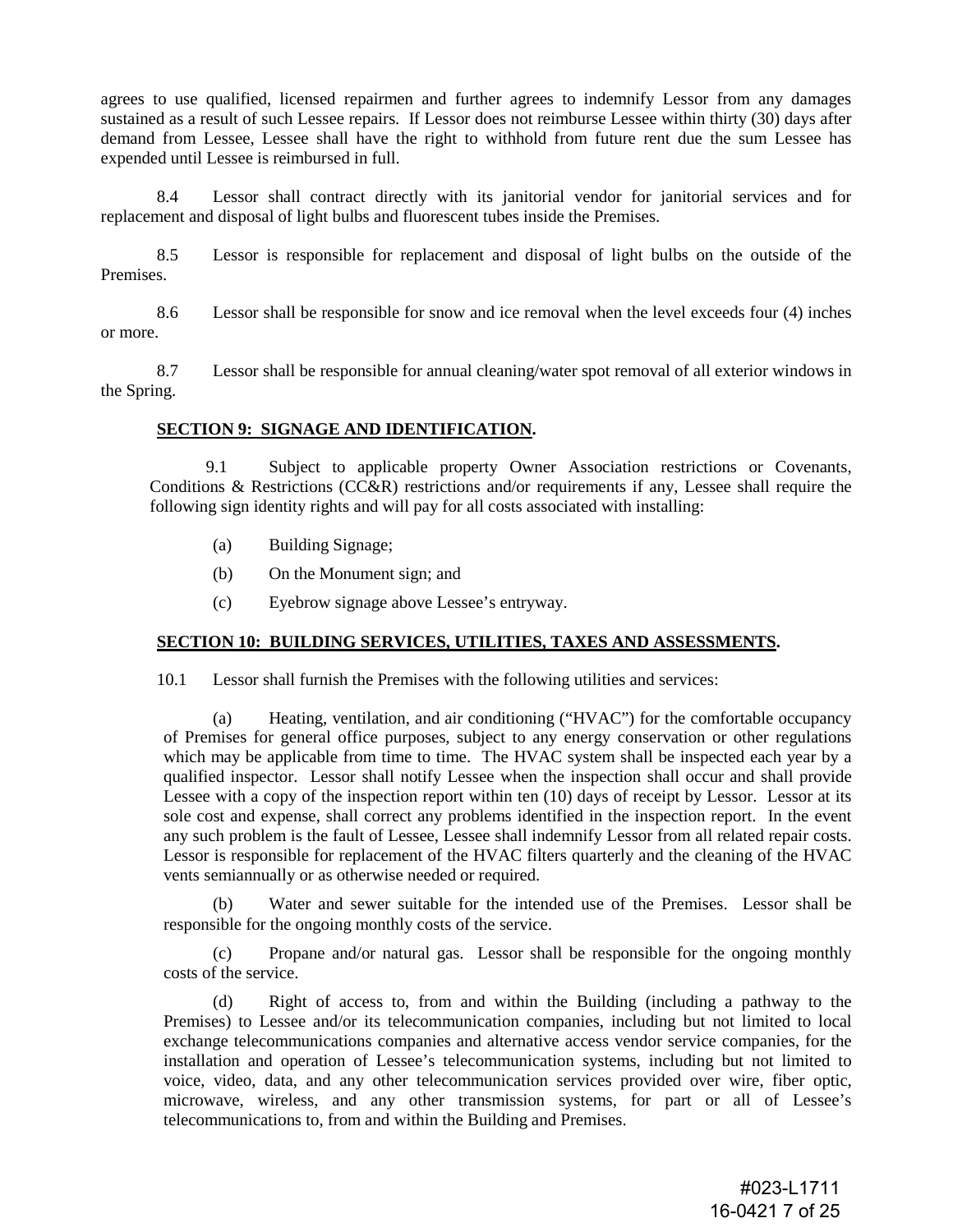agrees to use qualified, licensed repairmen and further agrees to indemnify Lessor from any damages sustained as a result of such Lessee repairs. If Lessor does not reimburse Lessee within thirty (30) days after demand from Lessee, Lessee shall have the right to withhold from future rent due the sum Lessee has expended until Lessee is reimbursed in full.

8.4 Lessor shall contract directly with its janitorial vendor for janitorial services and for replacement and disposal of light bulbs and fluorescent tubes inside the Premises.

8.5 Lessor is responsible for replacement and disposal of light bulbs on the outside of the Premises.

8.6 Lessor shall be responsible for snow and ice removal when the level exceeds four (4) inches or more.

8.7 Lessor shall be responsible for annual cleaning/water spot removal of all exterior windows in the Spring.

#### **SECTION 9: SIGNAGE AND IDENTIFICATION.**

9.1 Subject to applicable property Owner Association restrictions or Covenants, Conditions & Restrictions (CC&R) restrictions and/or requirements if any, Lessee shall require the following sign identity rights and will pay for all costs associated with installing:

- (a) Building Signage;
- (b) On the Monument sign; and
- (c) Eyebrow signage above Lessee's entryway.

#### **SECTION 10: BUILDING SERVICES, UTILITIES, TAXES AND ASSESSMENTS.**

10.1 Lessor shall furnish the Premises with the following utilities and services:

(a) Heating, ventilation, and air conditioning ("HVAC") for the comfortable occupancy of Premises for general office purposes, subject to any energy conservation or other regulations which may be applicable from time to time. The HVAC system shall be inspected each year by a qualified inspector. Lessor shall notify Lessee when the inspection shall occur and shall provide Lessee with a copy of the inspection report within ten (10) days of receipt by Lessor. Lessor at its sole cost and expense, shall correct any problems identified in the inspection report. In the event any such problem is the fault of Lessee, Lessee shall indemnify Lessor from all related repair costs. Lessor is responsible for replacement of the HVAC filters quarterly and the cleaning of the HVAC vents semiannually or as otherwise needed or required.

(b) Water and sewer suitable for the intended use of the Premises. Lessor shall be responsible for the ongoing monthly costs of the service.

(c) Propane and/or natural gas. Lessor shall be responsible for the ongoing monthly costs of the service.

(d) Right of access to, from and within the Building (including a pathway to the Premises) to Lessee and/or its telecommunication companies, including but not limited to local exchange telecommunications companies and alternative access vendor service companies, for the installation and operation of Lessee's telecommunication systems, including but not limited to voice, video, data, and any other telecommunication services provided over wire, fiber optic, microwave, wireless, and any other transmission systems, for part or all of Lessee's telecommunications to, from and within the Building and Premises.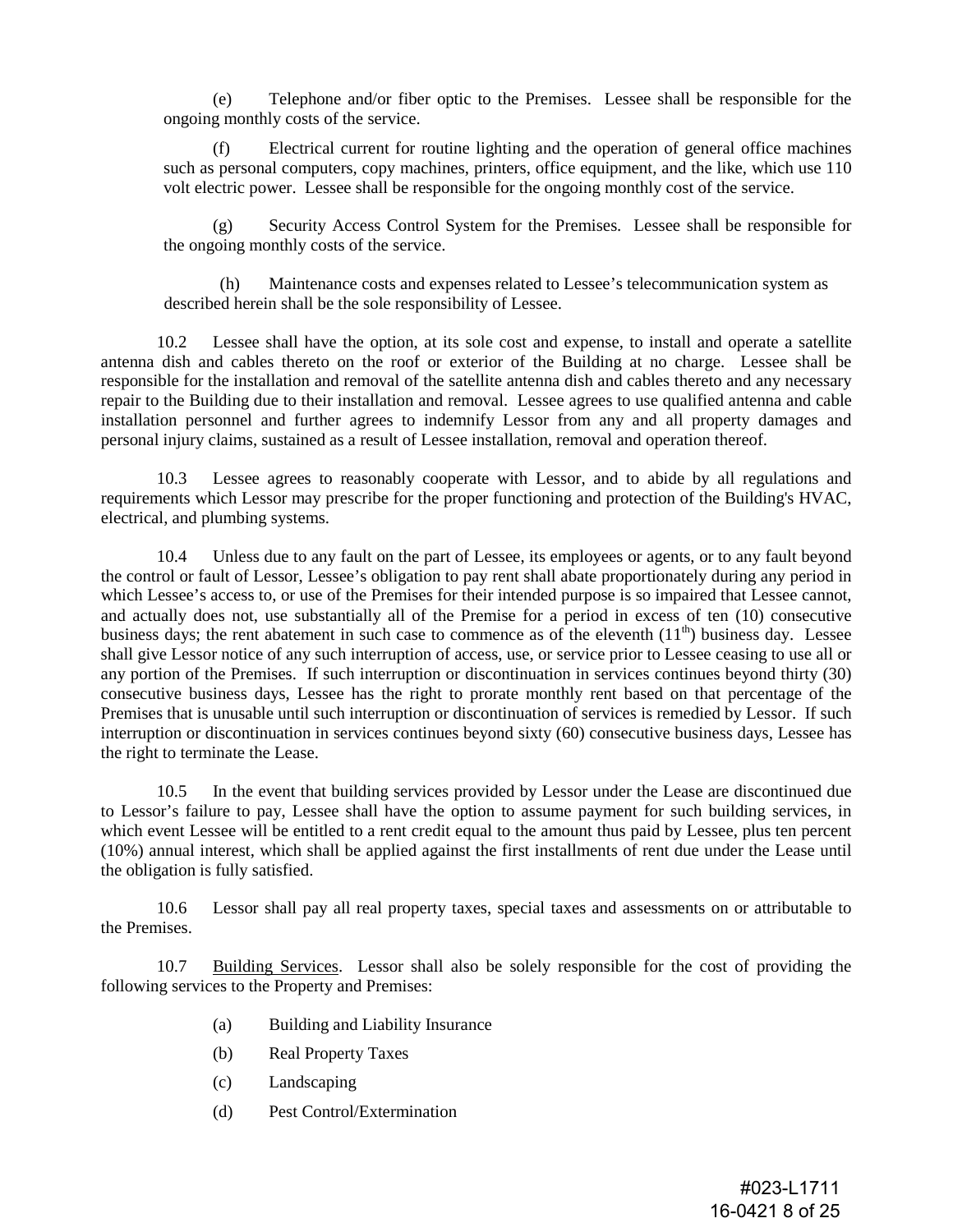(e) Telephone and/or fiber optic to the Premises. Lessee shall be responsible for the ongoing monthly costs of the service.

(f) Electrical current for routine lighting and the operation of general office machines such as personal computers, copy machines, printers, office equipment, and the like, which use 110 volt electric power. Lessee shall be responsible for the ongoing monthly cost of the service.

Security Access Control System for the Premises. Lessee shall be responsible for the ongoing monthly costs of the service.

(h) Maintenance costs and expenses related to Lessee's telecommunication system as described herein shall be the sole responsibility of Lessee.

10.2 Lessee shall have the option, at its sole cost and expense, to install and operate a satellite antenna dish and cables thereto on the roof or exterior of the Building at no charge. Lessee shall be responsible for the installation and removal of the satellite antenna dish and cables thereto and any necessary repair to the Building due to their installation and removal. Lessee agrees to use qualified antenna and cable installation personnel and further agrees to indemnify Lessor from any and all property damages and personal injury claims, sustained as a result of Lessee installation, removal and operation thereof.

10.3 Lessee agrees to reasonably cooperate with Lessor, and to abide by all regulations and requirements which Lessor may prescribe for the proper functioning and protection of the Building's HVAC, electrical, and plumbing systems.

10.4 Unless due to any fault on the part of Lessee, its employees or agents, or to any fault beyond the control or fault of Lessor, Lessee's obligation to pay rent shall abate proportionately during any period in which Lessee's access to, or use of the Premises for their intended purpose is so impaired that Lessee cannot, and actually does not, use substantially all of the Premise for a period in excess of ten (10) consecutive business days; the rent abatement in such case to commence as of the eleventh  $(11<sup>th</sup>)$  business day. Lessee shall give Lessor notice of any such interruption of access, use, or service prior to Lessee ceasing to use all or any portion of the Premises. If such interruption or discontinuation in services continues beyond thirty (30) consecutive business days, Lessee has the right to prorate monthly rent based on that percentage of the Premises that is unusable until such interruption or discontinuation of services is remedied by Lessor. If such interruption or discontinuation in services continues beyond sixty (60) consecutive business days, Lessee has the right to terminate the Lease.

10.5 In the event that building services provided by Lessor under the Lease are discontinued due to Lessor's failure to pay, Lessee shall have the option to assume payment for such building services, in which event Lessee will be entitled to a rent credit equal to the amount thus paid by Lessee, plus ten percent (10%) annual interest, which shall be applied against the first installments of rent due under the Lease until the obligation is fully satisfied.

10.6 Lessor shall pay all real property taxes, special taxes and assessments on or attributable to the Premises.

10.7 Building Services. Lessor shall also be solely responsible for the cost of providing the following services to the Property and Premises:

- (a) Building and Liability Insurance
- (b) Real Property Taxes
- (c) Landscaping
- (d) Pest Control/Extermination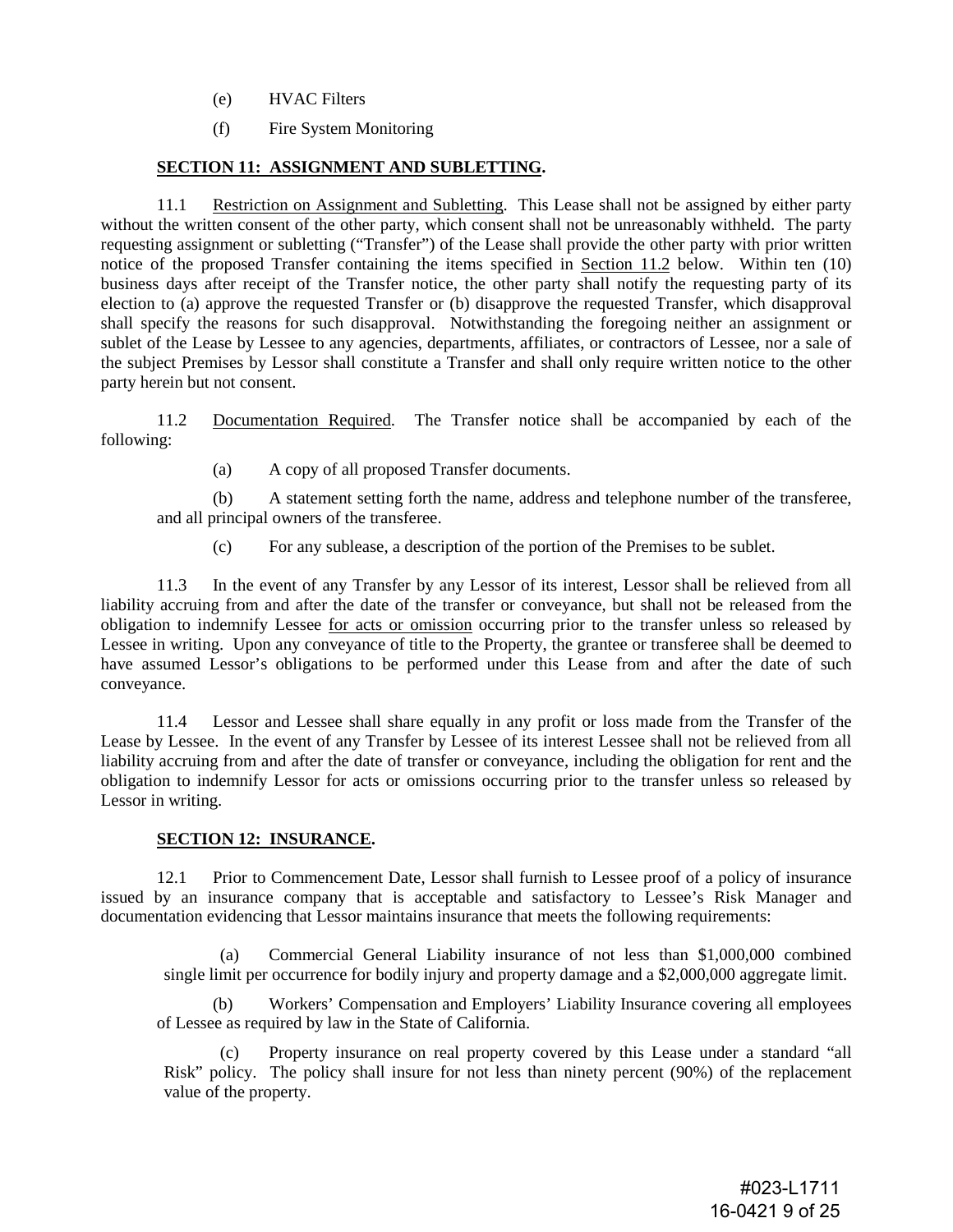- (e) HVAC Filters
- (f) Fire System Monitoring

# **SECTION 11: ASSIGNMENT AND SUBLETTING.**

11.1 Restriction on Assignment and Subletting. This Lease shall not be assigned by either party without the written consent of the other party, which consent shall not be unreasonably withheld. The party requesting assignment or subletting ("Transfer") of the Lease shall provide the other party with prior written notice of the proposed Transfer containing the items specified in Section 11.2 below. Within ten (10) business days after receipt of the Transfer notice, the other party shall notify the requesting party of its election to (a) approve the requested Transfer or (b) disapprove the requested Transfer, which disapproval shall specify the reasons for such disapproval. Notwithstanding the foregoing neither an assignment or sublet of the Lease by Lessee to any agencies, departments, affiliates, or contractors of Lessee, nor a sale of the subject Premises by Lessor shall constitute a Transfer and shall only require written notice to the other party herein but not consent.

11.2 Documentation Required. The Transfer notice shall be accompanied by each of the following:

(a) A copy of all proposed Transfer documents.

(b) A statement setting forth the name, address and telephone number of the transferee, and all principal owners of the transferee.

(c) For any sublease, a description of the portion of the Premises to be sublet.

11.3 In the event of any Transfer by any Lessor of its interest, Lessor shall be relieved from all liability accruing from and after the date of the transfer or conveyance, but shall not be released from the obligation to indemnify Lessee for acts or omission occurring prior to the transfer unless so released by Lessee in writing. Upon any conveyance of title to the Property, the grantee or transferee shall be deemed to have assumed Lessor's obligations to be performed under this Lease from and after the date of such conveyance.

11.4 Lessor and Lessee shall share equally in any profit or loss made from the Transfer of the Lease by Lessee. In the event of any Transfer by Lessee of its interest Lessee shall not be relieved from all liability accruing from and after the date of transfer or conveyance, including the obligation for rent and the obligation to indemnify Lessor for acts or omissions occurring prior to the transfer unless so released by Lessor in writing.

# **SECTION 12: INSURANCE.**

12.1 Prior to Commencement Date, Lessor shall furnish to Lessee proof of a policy of insurance issued by an insurance company that is acceptable and satisfactory to Lessee's Risk Manager and documentation evidencing that Lessor maintains insurance that meets the following requirements:

(a) Commercial General Liability insurance of not less than \$1,000,000 combined single limit per occurrence for bodily injury and property damage and a \$2,000,000 aggregate limit.

(b) Workers' Compensation and Employers' Liability Insurance covering all employees of Lessee as required by law in the State of California.

(c) Property insurance on real property covered by this Lease under a standard "all Risk" policy. The policy shall insure for not less than ninety percent (90%) of the replacement value of the property.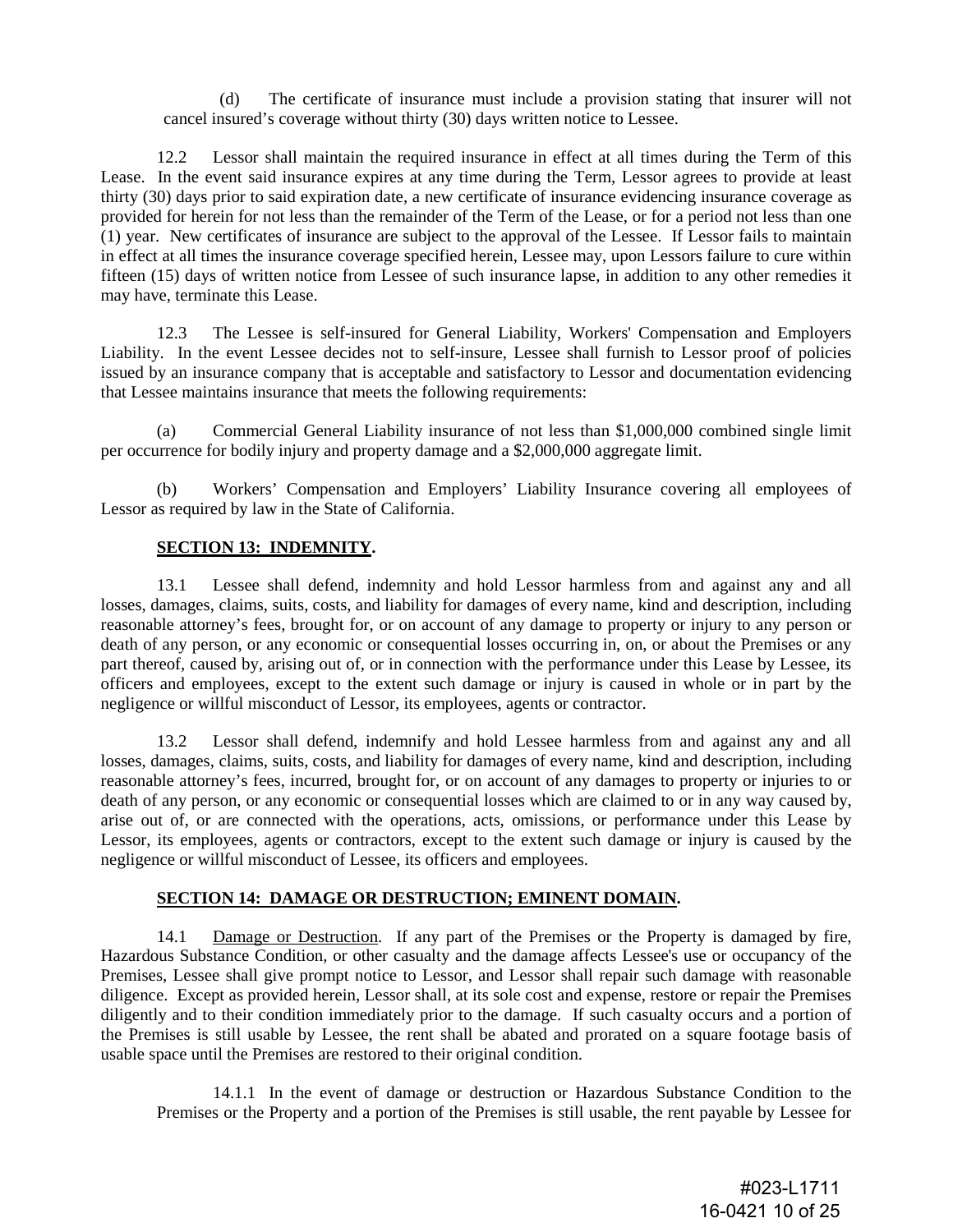(d) The certificate of insurance must include a provision stating that insurer will not cancel insured's coverage without thirty (30) days written notice to Lessee.

12.2 Lessor shall maintain the required insurance in effect at all times during the Term of this Lease. In the event said insurance expires at any time during the Term, Lessor agrees to provide at least thirty (30) days prior to said expiration date, a new certificate of insurance evidencing insurance coverage as provided for herein for not less than the remainder of the Term of the Lease, or for a period not less than one (1) year. New certificates of insurance are subject to the approval of the Lessee. If Lessor fails to maintain in effect at all times the insurance coverage specified herein, Lessee may, upon Lessors failure to cure within fifteen (15) days of written notice from Lessee of such insurance lapse, in addition to any other remedies it may have, terminate this Lease.

12.3 The Lessee is self-insured for General Liability, Workers' Compensation and Employers Liability. In the event Lessee decides not to self-insure, Lessee shall furnish to Lessor proof of policies issued by an insurance company that is acceptable and satisfactory to Lessor and documentation evidencing that Lessee maintains insurance that meets the following requirements:

(a) Commercial General Liability insurance of not less than \$1,000,000 combined single limit per occurrence for bodily injury and property damage and a \$2,000,000 aggregate limit.

(b) Workers' Compensation and Employers' Liability Insurance covering all employees of Lessor as required by law in the State of California.

# **SECTION 13: INDEMNITY.**

13.1 Lessee shall defend, indemnity and hold Lessor harmless from and against any and all losses, damages, claims, suits, costs, and liability for damages of every name, kind and description, including reasonable attorney's fees, brought for, or on account of any damage to property or injury to any person or death of any person, or any economic or consequential losses occurring in, on, or about the Premises or any part thereof, caused by, arising out of, or in connection with the performance under this Lease by Lessee, its officers and employees, except to the extent such damage or injury is caused in whole or in part by the negligence or willful misconduct of Lessor, its employees, agents or contractor.

13.2 Lessor shall defend, indemnify and hold Lessee harmless from and against any and all losses, damages, claims, suits, costs, and liability for damages of every name, kind and description, including reasonable attorney's fees, incurred, brought for, or on account of any damages to property or injuries to or death of any person, or any economic or consequential losses which are claimed to or in any way caused by, arise out of, or are connected with the operations, acts, omissions, or performance under this Lease by Lessor, its employees, agents or contractors, except to the extent such damage or injury is caused by the negligence or willful misconduct of Lessee, its officers and employees.

# **SECTION 14: DAMAGE OR DESTRUCTION; EMINENT DOMAIN.**

14.1 Damage or Destruction. If any part of the Premises or the Property is damaged by fire, Hazardous Substance Condition, or other casualty and the damage affects Lessee's use or occupancy of the Premises, Lessee shall give prompt notice to Lessor, and Lessor shall repair such damage with reasonable diligence. Except as provided herein, Lessor shall, at its sole cost and expense, restore or repair the Premises diligently and to their condition immediately prior to the damage. If such casualty occurs and a portion of the Premises is still usable by Lessee, the rent shall be abated and prorated on a square footage basis of usable space until the Premises are restored to their original condition.

14.1.1 In the event of damage or destruction or Hazardous Substance Condition to the Premises or the Property and a portion of the Premises is still usable, the rent payable by Lessee for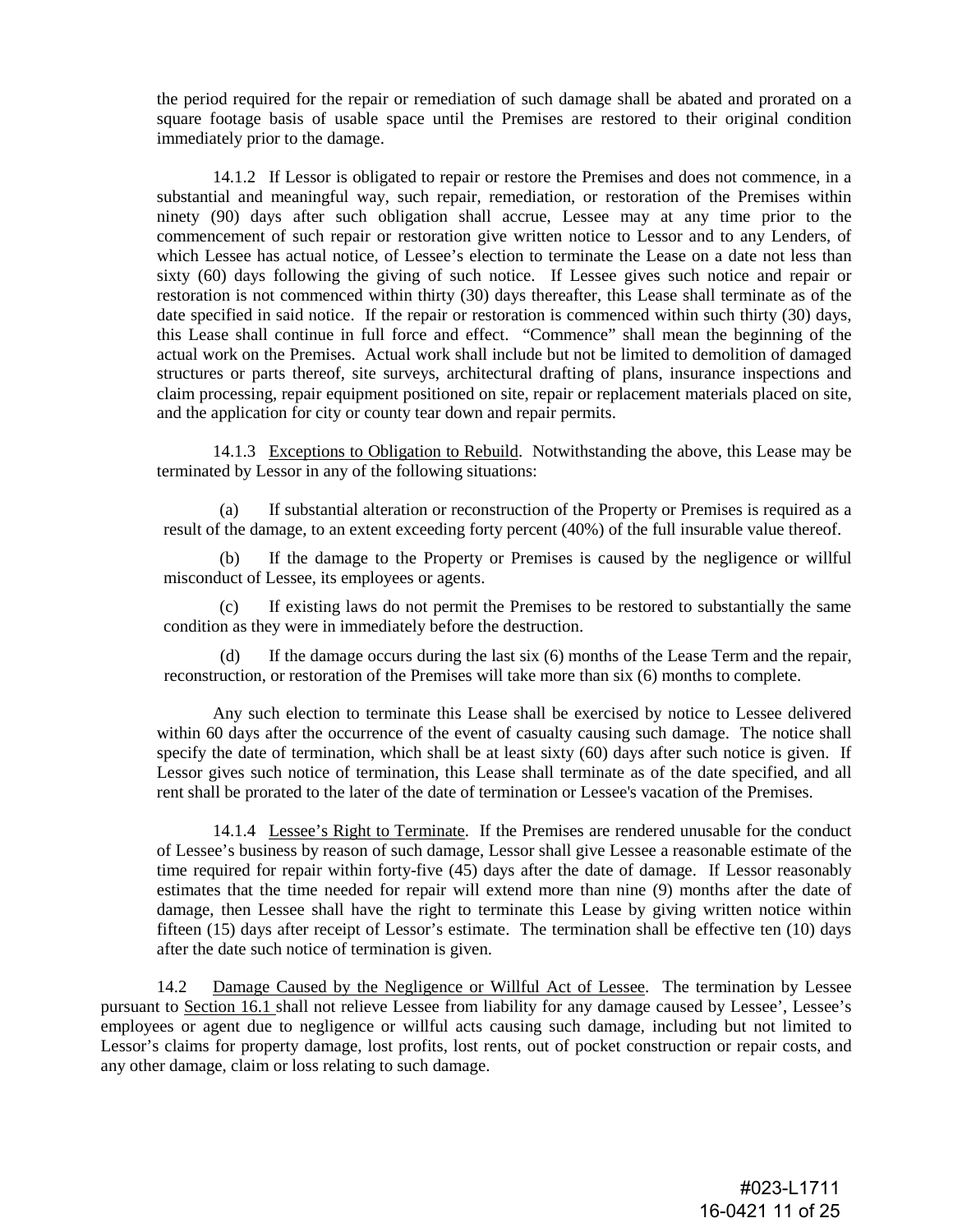the period required for the repair or remediation of such damage shall be abated and prorated on a square footage basis of usable space until the Premises are restored to their original condition immediately prior to the damage.

14.1.2 If Lessor is obligated to repair or restore the Premises and does not commence, in a substantial and meaningful way, such repair, remediation, or restoration of the Premises within ninety (90) days after such obligation shall accrue, Lessee may at any time prior to the commencement of such repair or restoration give written notice to Lessor and to any Lenders, of which Lessee has actual notice, of Lessee's election to terminate the Lease on a date not less than sixty (60) days following the giving of such notice. If Lessee gives such notice and repair or restoration is not commenced within thirty (30) days thereafter, this Lease shall terminate as of the date specified in said notice. If the repair or restoration is commenced within such thirty (30) days, this Lease shall continue in full force and effect. "Commence" shall mean the beginning of the actual work on the Premises. Actual work shall include but not be limited to demolition of damaged structures or parts thereof, site surveys, architectural drafting of plans, insurance inspections and claim processing, repair equipment positioned on site, repair or replacement materials placed on site, and the application for city or county tear down and repair permits.

14.1.3 Exceptions to Obligation to Rebuild. Notwithstanding the above, this Lease may be terminated by Lessor in any of the following situations:

(a) If substantial alteration or reconstruction of the Property or Premises is required as a result of the damage, to an extent exceeding forty percent (40%) of the full insurable value thereof.

(b) If the damage to the Property or Premises is caused by the negligence or willful misconduct of Lessee, its employees or agents.

(c) If existing laws do not permit the Premises to be restored to substantially the same condition as they were in immediately before the destruction.

(d) If the damage occurs during the last six (6) months of the Lease Term and the repair, reconstruction, or restoration of the Premises will take more than six (6) months to complete.

Any such election to terminate this Lease shall be exercised by notice to Lessee delivered within 60 days after the occurrence of the event of casualty causing such damage. The notice shall specify the date of termination, which shall be at least sixty (60) days after such notice is given. If Lessor gives such notice of termination, this Lease shall terminate as of the date specified, and all rent shall be prorated to the later of the date of termination or Lessee's vacation of the Premises.

14.1.4 Lessee's Right to Terminate. If the Premises are rendered unusable for the conduct of Lessee's business by reason of such damage, Lessor shall give Lessee a reasonable estimate of the time required for repair within forty-five (45) days after the date of damage. If Lessor reasonably estimates that the time needed for repair will extend more than nine (9) months after the date of damage, then Lessee shall have the right to terminate this Lease by giving written notice within fifteen (15) days after receipt of Lessor's estimate. The termination shall be effective ten (10) days after the date such notice of termination is given.

14.2 Damage Caused by the Negligence or Willful Act of Lessee. The termination by Lessee pursuant to Section 16.1 shall not relieve Lessee from liability for any damage caused by Lessee', Lessee's employees or agent due to negligence or willful acts causing such damage, including but not limited to Lessor's claims for property damage, lost profits, lost rents, out of pocket construction or repair costs, and any other damage, claim or loss relating to such damage.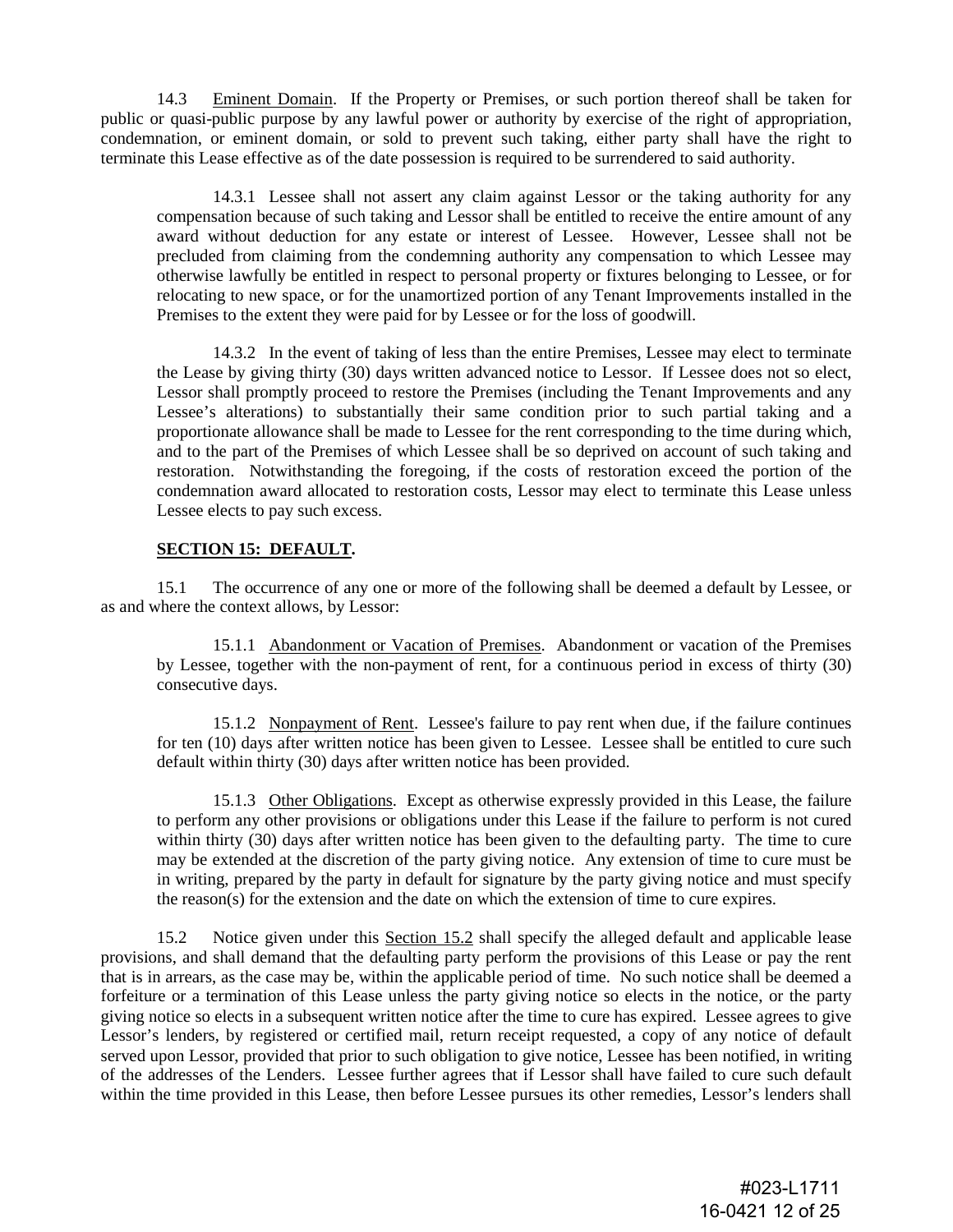14.3 Eminent Domain. If the Property or Premises, or such portion thereof shall be taken for public or quasi-public purpose by any lawful power or authority by exercise of the right of appropriation, condemnation, or eminent domain, or sold to prevent such taking, either party shall have the right to terminate this Lease effective as of the date possession is required to be surrendered to said authority.

14.3.1 Lessee shall not assert any claim against Lessor or the taking authority for any compensation because of such taking and Lessor shall be entitled to receive the entire amount of any award without deduction for any estate or interest of Lessee. However, Lessee shall not be precluded from claiming from the condemning authority any compensation to which Lessee may otherwise lawfully be entitled in respect to personal property or fixtures belonging to Lessee, or for relocating to new space, or for the unamortized portion of any Tenant Improvements installed in the Premises to the extent they were paid for by Lessee or for the loss of goodwill.

14.3.2 In the event of taking of less than the entire Premises, Lessee may elect to terminate the Lease by giving thirty (30) days written advanced notice to Lessor. If Lessee does not so elect, Lessor shall promptly proceed to restore the Premises (including the Tenant Improvements and any Lessee's alterations) to substantially their same condition prior to such partial taking and a proportionate allowance shall be made to Lessee for the rent corresponding to the time during which, and to the part of the Premises of which Lessee shall be so deprived on account of such taking and restoration. Notwithstanding the foregoing, if the costs of restoration exceed the portion of the condemnation award allocated to restoration costs, Lessor may elect to terminate this Lease unless Lessee elects to pay such excess.

#### **SECTION 15: DEFAULT.**

15.1 The occurrence of any one or more of the following shall be deemed a default by Lessee, or as and where the context allows, by Lessor:

15.1.1 Abandonment or Vacation of Premises. Abandonment or vacation of the Premises by Lessee, together with the non-payment of rent, for a continuous period in excess of thirty (30) consecutive days.

15.1.2 Nonpayment of Rent. Lessee's failure to pay rent when due, if the failure continues for ten (10) days after written notice has been given to Lessee. Lessee shall be entitled to cure such default within thirty (30) days after written notice has been provided.

15.1.3 Other Obligations. Except as otherwise expressly provided in this Lease, the failure to perform any other provisions or obligations under this Lease if the failure to perform is not cured within thirty (30) days after written notice has been given to the defaulting party. The time to cure may be extended at the discretion of the party giving notice. Any extension of time to cure must be in writing, prepared by the party in default for signature by the party giving notice and must specify the reason(s) for the extension and the date on which the extension of time to cure expires.

15.2 Notice given under this Section 15.2 shall specify the alleged default and applicable lease provisions, and shall demand that the defaulting party perform the provisions of this Lease or pay the rent that is in arrears, as the case may be, within the applicable period of time. No such notice shall be deemed a forfeiture or a termination of this Lease unless the party giving notice so elects in the notice, or the party giving notice so elects in a subsequent written notice after the time to cure has expired. Lessee agrees to give Lessor's lenders, by registered or certified mail, return receipt requested, a copy of any notice of default served upon Lessor, provided that prior to such obligation to give notice, Lessee has been notified, in writing of the addresses of the Lenders. Lessee further agrees that if Lessor shall have failed to cure such default within the time provided in this Lease, then before Lessee pursues its other remedies, Lessor's lenders shall

> #023-L1711 16-0421 12 of 25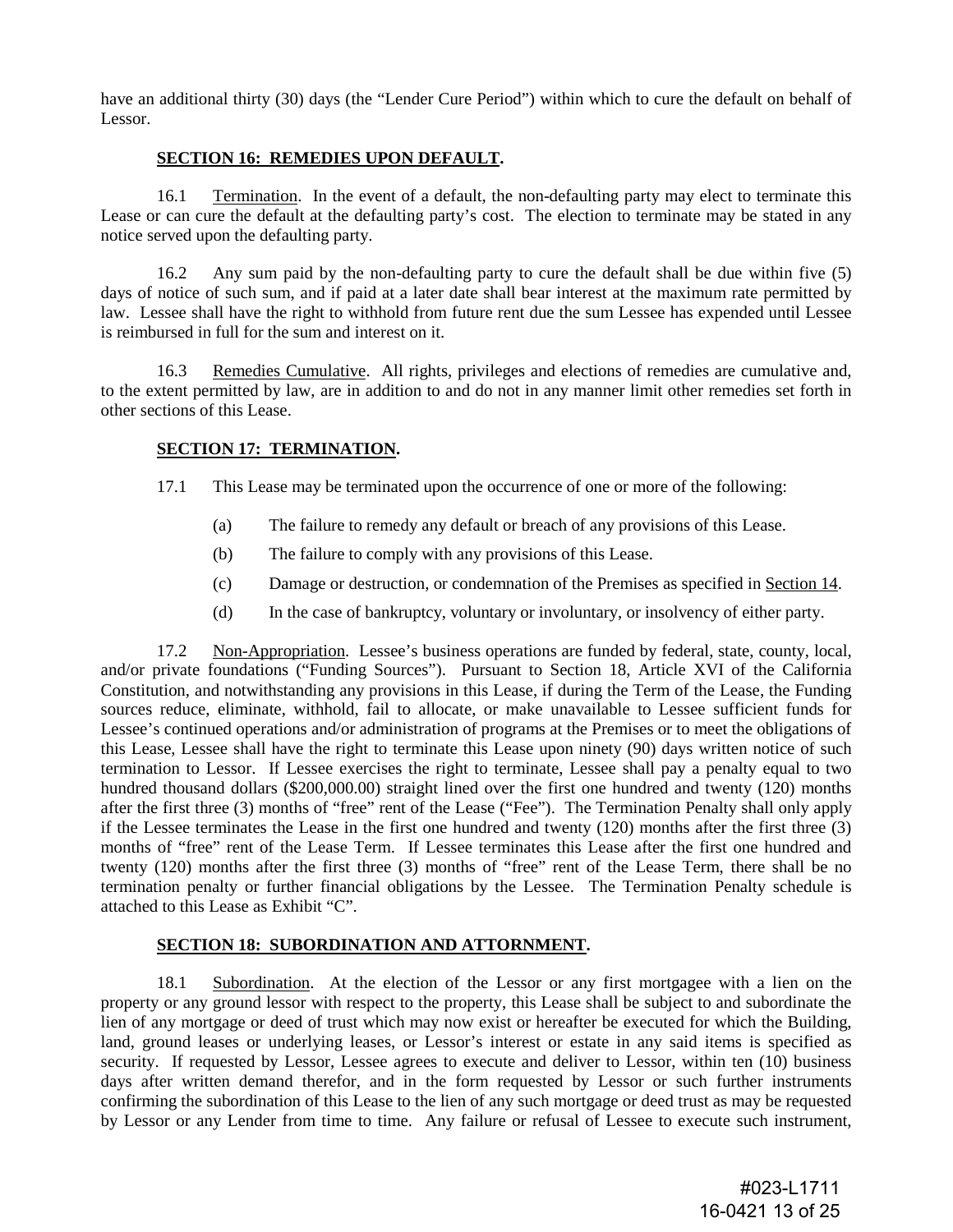have an additional thirty (30) days (the "Lender Cure Period") within which to cure the default on behalf of Lessor.

#### **SECTION 16: REMEDIES UPON DEFAULT.**

16.1 Termination. In the event of a default, the non-defaulting party may elect to terminate this Lease or can cure the default at the defaulting party's cost. The election to terminate may be stated in any notice served upon the defaulting party.

16.2 Any sum paid by the non-defaulting party to cure the default shall be due within five (5) days of notice of such sum, and if paid at a later date shall bear interest at the maximum rate permitted by law. Lessee shall have the right to withhold from future rent due the sum Lessee has expended until Lessee is reimbursed in full for the sum and interest on it.

16.3 Remedies Cumulative. All rights, privileges and elections of remedies are cumulative and, to the extent permitted by law, are in addition to and do not in any manner limit other remedies set forth in other sections of this Lease.

# **SECTION 17: TERMINATION.**

- 17.1 This Lease may be terminated upon the occurrence of one or more of the following:
	- (a) The failure to remedy any default or breach of any provisions of this Lease.
	- (b) The failure to comply with any provisions of this Lease.
	- (c) Damage or destruction, or condemnation of the Premises as specified in Section 14.
	- (d) In the case of bankruptcy, voluntary or involuntary, or insolvency of either party.

17.2 Non-Appropriation. Lessee's business operations are funded by federal, state, county, local, and/or private foundations ("Funding Sources"). Pursuant to Section 18, Article XVI of the California Constitution, and notwithstanding any provisions in this Lease, if during the Term of the Lease, the Funding sources reduce, eliminate, withhold, fail to allocate, or make unavailable to Lessee sufficient funds for Lessee's continued operations and/or administration of programs at the Premises or to meet the obligations of this Lease, Lessee shall have the right to terminate this Lease upon ninety (90) days written notice of such termination to Lessor. If Lessee exercises the right to terminate, Lessee shall pay a penalty equal to two hundred thousand dollars (\$200,000.00) straight lined over the first one hundred and twenty (120) months after the first three (3) months of "free" rent of the Lease ("Fee"). The Termination Penalty shall only apply if the Lessee terminates the Lease in the first one hundred and twenty (120) months after the first three (3) months of "free" rent of the Lease Term. If Lessee terminates this Lease after the first one hundred and twenty (120) months after the first three (3) months of "free" rent of the Lease Term, there shall be no termination penalty or further financial obligations by the Lessee. The Termination Penalty schedule is attached to this Lease as Exhibit "C".

# **SECTION 18: SUBORDINATION AND ATTORNMENT.**

18.1 Subordination. At the election of the Lessor or any first mortgagee with a lien on the property or any ground lessor with respect to the property, this Lease shall be subject to and subordinate the lien of any mortgage or deed of trust which may now exist or hereafter be executed for which the Building, land, ground leases or underlying leases, or Lessor's interest or estate in any said items is specified as security. If requested by Lessor, Lessee agrees to execute and deliver to Lessor, within ten (10) business days after written demand therefor, and in the form requested by Lessor or such further instruments confirming the subordination of this Lease to the lien of any such mortgage or deed trust as may be requested by Lessor or any Lender from time to time. Any failure or refusal of Lessee to execute such instrument,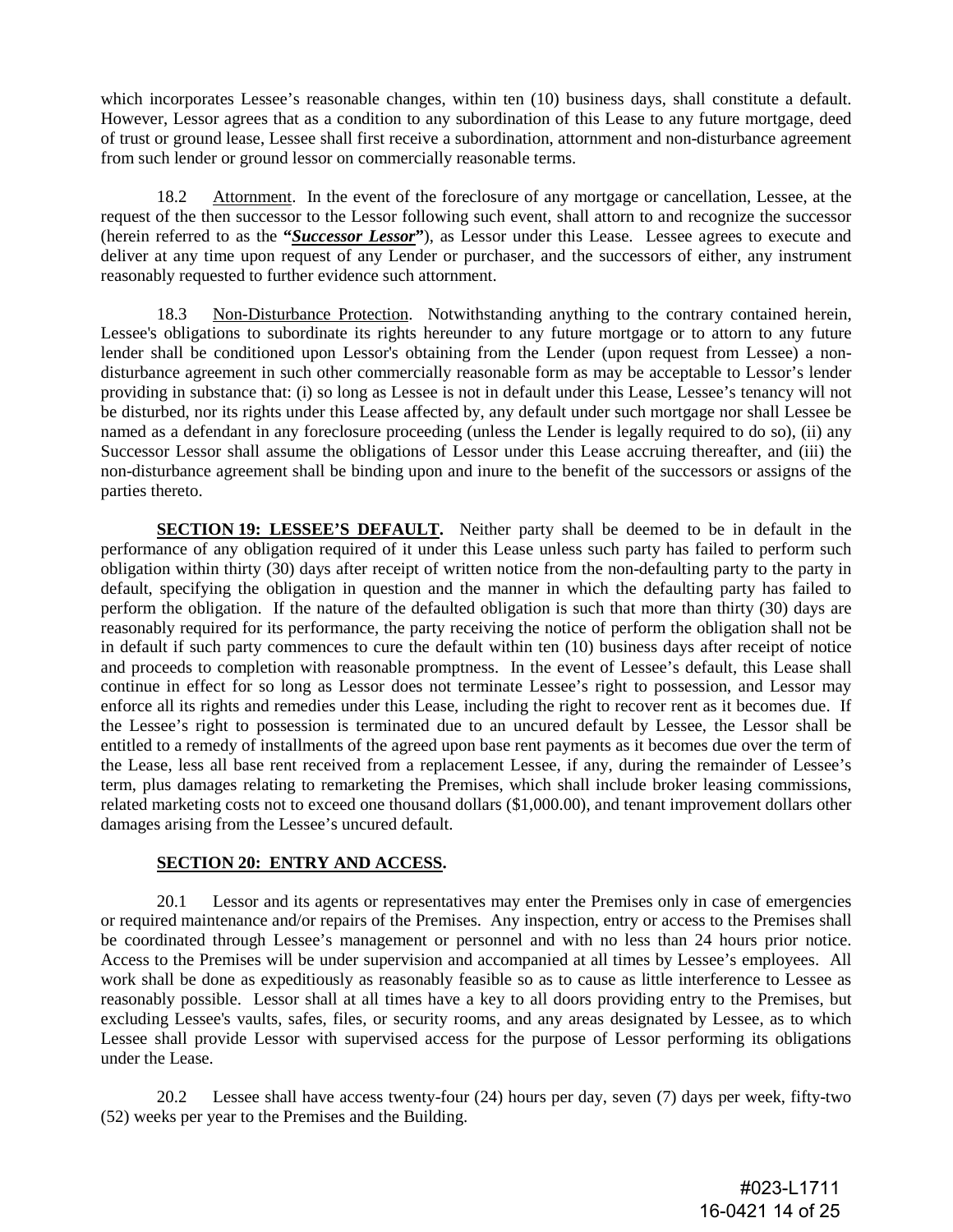which incorporates Lessee's reasonable changes, within ten (10) business days, shall constitute a default. However, Lessor agrees that as a condition to any subordination of this Lease to any future mortgage, deed of trust or ground lease, Lessee shall first receive a subordination, attornment and non-disturbance agreement from such lender or ground lessor on commercially reasonable terms.

18.2 Attornment. In the event of the foreclosure of any mortgage or cancellation, Lessee, at the request of the then successor to the Lessor following such event, shall attorn to and recognize the successor (herein referred to as the **"***Successor Lessor***"**), as Lessor under this Lease. Lessee agrees to execute and deliver at any time upon request of any Lender or purchaser, and the successors of either, any instrument reasonably requested to further evidence such attornment.

18.3 Non-Disturbance Protection. Notwithstanding anything to the contrary contained herein, Lessee's obligations to subordinate its rights hereunder to any future mortgage or to attorn to any future lender shall be conditioned upon Lessor's obtaining from the Lender (upon request from Lessee) a nondisturbance agreement in such other commercially reasonable form as may be acceptable to Lessor's lender providing in substance that: (i) so long as Lessee is not in default under this Lease, Lessee's tenancy will not be disturbed, nor its rights under this Lease affected by, any default under such mortgage nor shall Lessee be named as a defendant in any foreclosure proceeding (unless the Lender is legally required to do so), (ii) any Successor Lessor shall assume the obligations of Lessor under this Lease accruing thereafter, and (iii) the non-disturbance agreement shall be binding upon and inure to the benefit of the successors or assigns of the parties thereto.

**SECTION 19: LESSEE'S DEFAULT.** Neither party shall be deemed to be in default in the performance of any obligation required of it under this Lease unless such party has failed to perform such obligation within thirty (30) days after receipt of written notice from the non-defaulting party to the party in default, specifying the obligation in question and the manner in which the defaulting party has failed to perform the obligation. If the nature of the defaulted obligation is such that more than thirty (30) days are reasonably required for its performance, the party receiving the notice of perform the obligation shall not be in default if such party commences to cure the default within ten (10) business days after receipt of notice and proceeds to completion with reasonable promptness. In the event of Lessee's default, this Lease shall continue in effect for so long as Lessor does not terminate Lessee's right to possession, and Lessor may enforce all its rights and remedies under this Lease, including the right to recover rent as it becomes due. If the Lessee's right to possession is terminated due to an uncured default by Lessee, the Lessor shall be entitled to a remedy of installments of the agreed upon base rent payments as it becomes due over the term of the Lease, less all base rent received from a replacement Lessee, if any, during the remainder of Lessee's term, plus damages relating to remarketing the Premises, which shall include broker leasing commissions, related marketing costs not to exceed one thousand dollars (\$1,000.00), and tenant improvement dollars other damages arising from the Lessee's uncured default.

# **SECTION 20: ENTRY AND ACCESS.**

20.1 Lessor and its agents or representatives may enter the Premises only in case of emergencies or required maintenance and/or repairs of the Premises. Any inspection, entry or access to the Premises shall be coordinated through Lessee's management or personnel and with no less than 24 hours prior notice. Access to the Premises will be under supervision and accompanied at all times by Lessee's employees. All work shall be done as expeditiously as reasonably feasible so as to cause as little interference to Lessee as reasonably possible. Lessor shall at all times have a key to all doors providing entry to the Premises, but excluding Lessee's vaults, safes, files, or security rooms, and any areas designated by Lessee, as to which Lessee shall provide Lessor with supervised access for the purpose of Lessor performing its obligations under the Lease.

20.2 Lessee shall have access twenty-four (24) hours per day, seven (7) days per week, fifty-two (52) weeks per year to the Premises and the Building.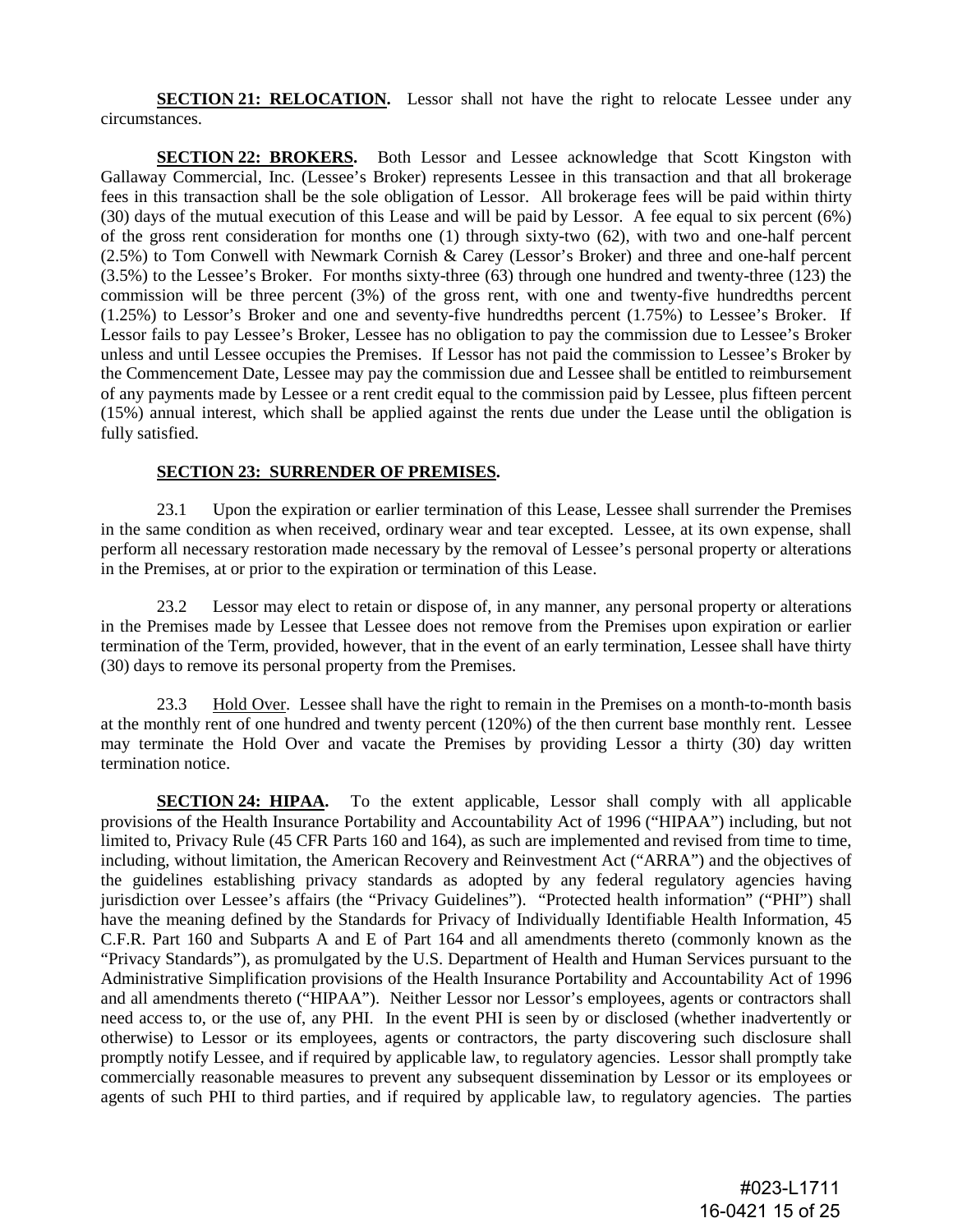**SECTION 21: RELOCATION.** Lessor shall not have the right to relocate Lessee under any circumstances.

**SECTION 22: BROKERS.** Both Lessor and Lessee acknowledge that Scott Kingston with Gallaway Commercial, Inc. (Lessee's Broker) represents Lessee in this transaction and that all brokerage fees in this transaction shall be the sole obligation of Lessor. All brokerage fees will be paid within thirty (30) days of the mutual execution of this Lease and will be paid by Lessor. A fee equal to six percent (6%) of the gross rent consideration for months one (1) through sixty-two (62), with two and one-half percent (2.5%) to Tom Conwell with Newmark Cornish & Carey (Lessor's Broker) and three and one-half percent (3.5%) to the Lessee's Broker. For months sixty-three (63) through one hundred and twenty-three (123) the commission will be three percent (3%) of the gross rent, with one and twenty-five hundredths percent (1.25%) to Lessor's Broker and one and seventy-five hundredths percent (1.75%) to Lessee's Broker. If Lessor fails to pay Lessee's Broker, Lessee has no obligation to pay the commission due to Lessee's Broker unless and until Lessee occupies the Premises. If Lessor has not paid the commission to Lessee's Broker by the Commencement Date, Lessee may pay the commission due and Lessee shall be entitled to reimbursement of any payments made by Lessee or a rent credit equal to the commission paid by Lessee, plus fifteen percent (15%) annual interest, which shall be applied against the rents due under the Lease until the obligation is fully satisfied.

#### **SECTION 23: SURRENDER OF PREMISES.**

23.1 Upon the expiration or earlier termination of this Lease, Lessee shall surrender the Premises in the same condition as when received, ordinary wear and tear excepted. Lessee, at its own expense, shall perform all necessary restoration made necessary by the removal of Lessee's personal property or alterations in the Premises, at or prior to the expiration or termination of this Lease.

23.2 Lessor may elect to retain or dispose of, in any manner, any personal property or alterations in the Premises made by Lessee that Lessee does not remove from the Premises upon expiration or earlier termination of the Term, provided, however, that in the event of an early termination, Lessee shall have thirty (30) days to remove its personal property from the Premises.

23.3 Hold Over. Lessee shall have the right to remain in the Premises on a month-to-month basis at the monthly rent of one hundred and twenty percent (120%) of the then current base monthly rent. Lessee may terminate the Hold Over and vacate the Premises by providing Lessor a thirty (30) day written termination notice.

**SECTION 24: HIPAA.** To the extent applicable, Lessor shall comply with all applicable provisions of the Health Insurance Portability and Accountability Act of 1996 ("HIPAA") including, but not limited to, Privacy Rule (45 CFR Parts 160 and 164), as such are implemented and revised from time to time, including, without limitation, the American Recovery and Reinvestment Act ("ARRA") and the objectives of the guidelines establishing privacy standards as adopted by any federal regulatory agencies having jurisdiction over Lessee's affairs (the "Privacy Guidelines"). "Protected health information" ("PHI") shall have the meaning defined by the Standards for Privacy of Individually Identifiable Health Information, 45 C.F.R. Part 160 and Subparts A and E of Part 164 and all amendments thereto (commonly known as the "Privacy Standards"), as promulgated by the U.S. Department of Health and Human Services pursuant to the Administrative Simplification provisions of the Health Insurance Portability and Accountability Act of 1996 and all amendments thereto ("HIPAA"). Neither Lessor nor Lessor's employees, agents or contractors shall need access to, or the use of, any PHI. In the event PHI is seen by or disclosed (whether inadvertently or otherwise) to Lessor or its employees, agents or contractors, the party discovering such disclosure shall promptly notify Lessee, and if required by applicable law, to regulatory agencies. Lessor shall promptly take commercially reasonable measures to prevent any subsequent dissemination by Lessor or its employees or agents of such PHI to third parties, and if required by applicable law, to regulatory agencies. The parties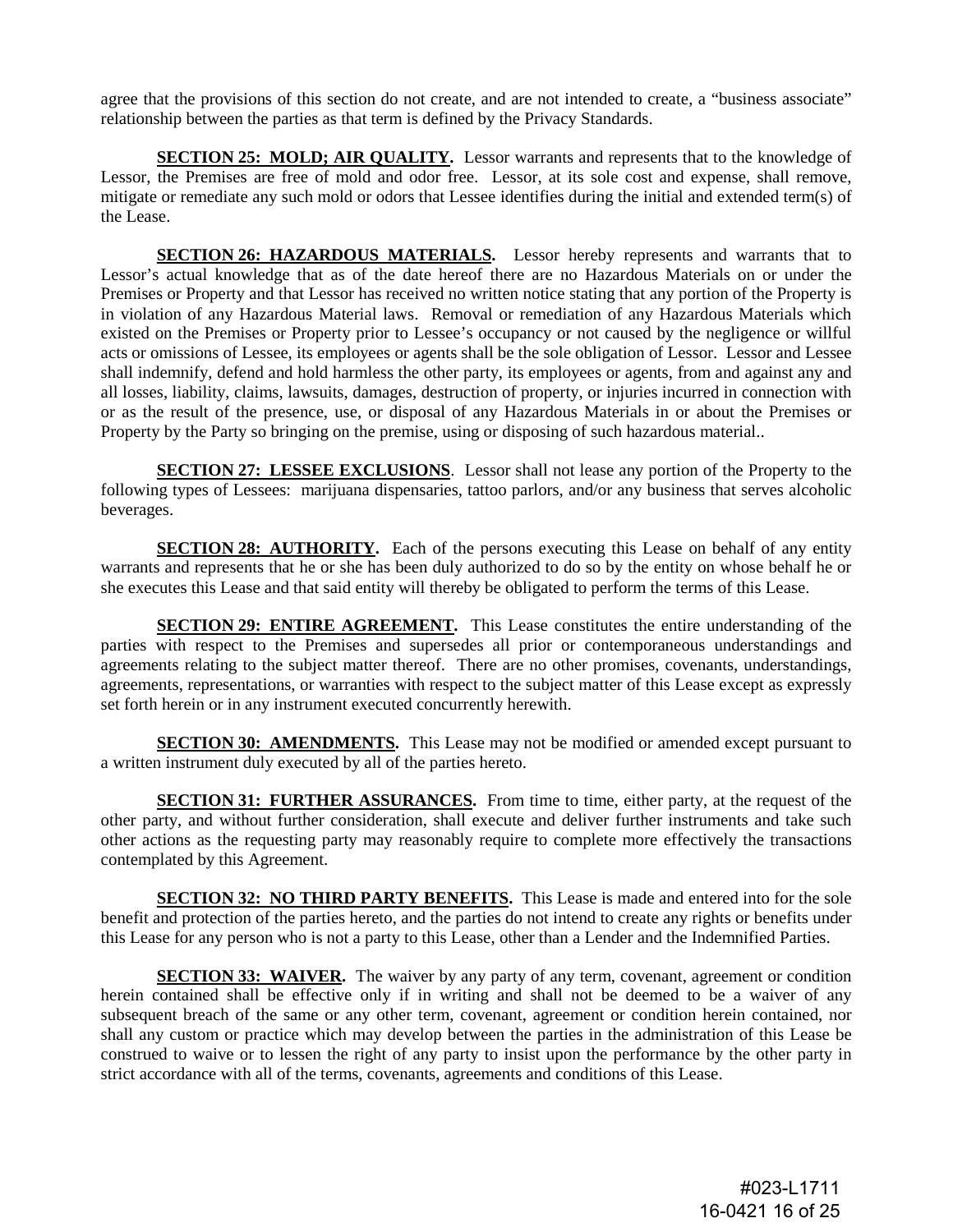agree that the provisions of this section do not create, and are not intended to create, a "business associate" relationship between the parties as that term is defined by the Privacy Standards.

**SECTION 25: MOLD; AIR QUALITY.** Lessor warrants and represents that to the knowledge of Lessor, the Premises are free of mold and odor free. Lessor, at its sole cost and expense, shall remove, mitigate or remediate any such mold or odors that Lessee identifies during the initial and extended term(s) of the Lease.

**SECTION 26: HAZARDOUS MATERIALS.** Lessor hereby represents and warrants that to Lessor's actual knowledge that as of the date hereof there are no Hazardous Materials on or under the Premises or Property and that Lessor has received no written notice stating that any portion of the Property is in violation of any Hazardous Material laws. Removal or remediation of any Hazardous Materials which existed on the Premises or Property prior to Lessee's occupancy or not caused by the negligence or willful acts or omissions of Lessee, its employees or agents shall be the sole obligation of Lessor. Lessor and Lessee shall indemnify, defend and hold harmless the other party, its employees or agents, from and against any and all losses, liability, claims, lawsuits, damages, destruction of property, or injuries incurred in connection with or as the result of the presence, use, or disposal of any Hazardous Materials in or about the Premises or Property by the Party so bringing on the premise, using or disposing of such hazardous material..

**SECTION 27: LESSEE EXCLUSIONS**. Lessor shall not lease any portion of the Property to the following types of Lessees: marijuana dispensaries, tattoo parlors, and/or any business that serves alcoholic beverages.

**SECTION 28: AUTHORITY.** Each of the persons executing this Lease on behalf of any entity warrants and represents that he or she has been duly authorized to do so by the entity on whose behalf he or she executes this Lease and that said entity will thereby be obligated to perform the terms of this Lease.

**SECTION 29: ENTIRE AGREEMENT.** This Lease constitutes the entire understanding of the parties with respect to the Premises and supersedes all prior or contemporaneous understandings and agreements relating to the subject matter thereof. There are no other promises, covenants, understandings, agreements, representations, or warranties with respect to the subject matter of this Lease except as expressly set forth herein or in any instrument executed concurrently herewith.

**SECTION 30: AMENDMENTS.** This Lease may not be modified or amended except pursuant to a written instrument duly executed by all of the parties hereto.

**SECTION 31: FURTHER ASSURANCES.** From time to time, either party, at the request of the other party, and without further consideration, shall execute and deliver further instruments and take such other actions as the requesting party may reasonably require to complete more effectively the transactions contemplated by this Agreement.

**SECTION 32: NO THIRD PARTY BENEFITS.** This Lease is made and entered into for the sole benefit and protection of the parties hereto, and the parties do not intend to create any rights or benefits under this Lease for any person who is not a party to this Lease, other than a Lender and the Indemnified Parties.

**SECTION 33: WAIVER.** The waiver by any party of any term, covenant, agreement or condition herein contained shall be effective only if in writing and shall not be deemed to be a waiver of any subsequent breach of the same or any other term, covenant, agreement or condition herein contained, nor shall any custom or practice which may develop between the parties in the administration of this Lease be construed to waive or to lessen the right of any party to insist upon the performance by the other party in strict accordance with all of the terms, covenants, agreements and conditions of this Lease.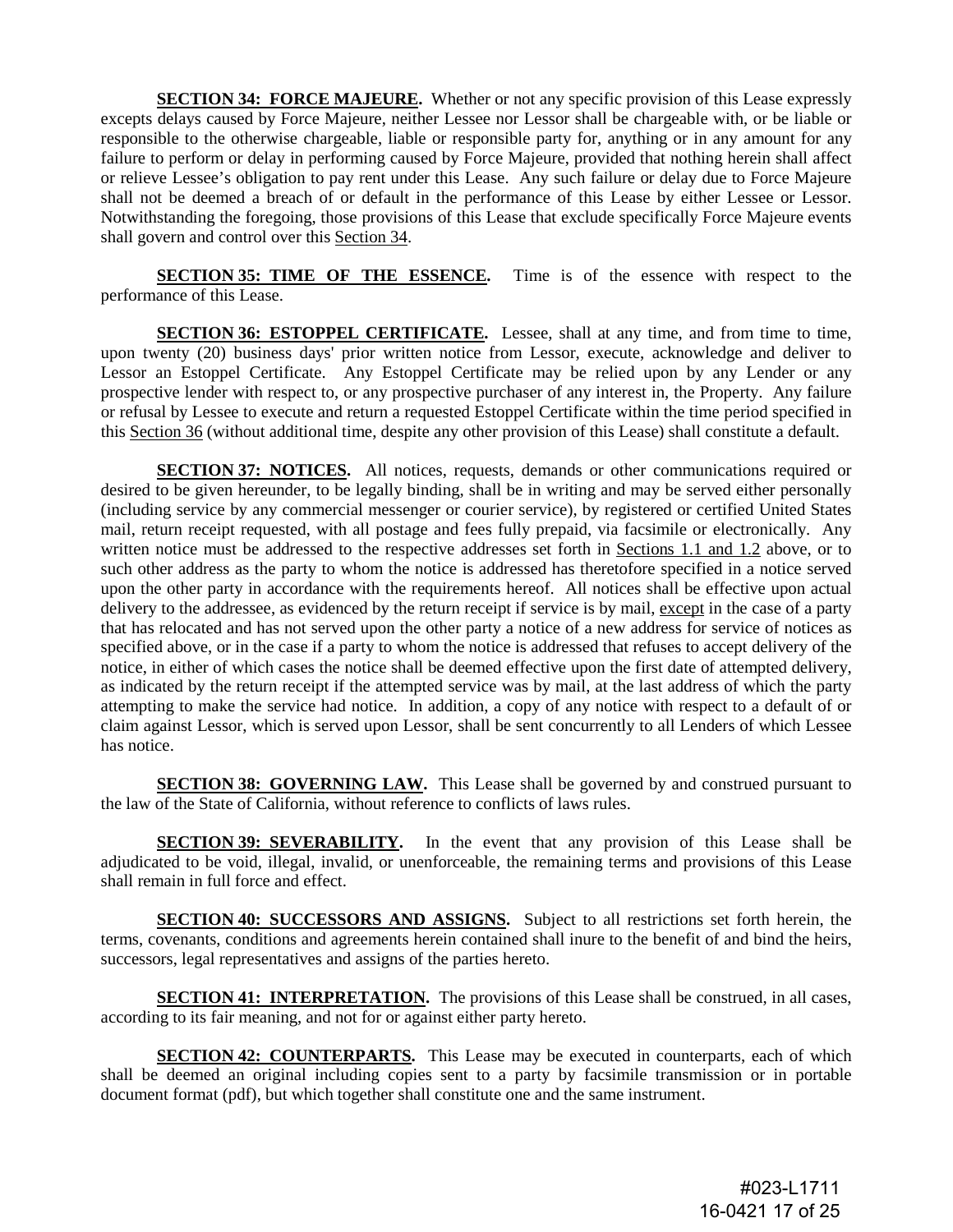**SECTION 34: FORCE MAJEURE.** Whether or not any specific provision of this Lease expressly excepts delays caused by Force Majeure, neither Lessee nor Lessor shall be chargeable with, or be liable or responsible to the otherwise chargeable, liable or responsible party for, anything or in any amount for any failure to perform or delay in performing caused by Force Majeure, provided that nothing herein shall affect or relieve Lessee's obligation to pay rent under this Lease. Any such failure or delay due to Force Majeure shall not be deemed a breach of or default in the performance of this Lease by either Lessee or Lessor. Notwithstanding the foregoing, those provisions of this Lease that exclude specifically Force Majeure events shall govern and control over this Section 34.

**SECTION 35: TIME OF THE ESSENCE.** Time is of the essence with respect to the performance of this Lease.

**SECTION 36: ESTOPPEL CERTIFICATE.** Lessee, shall at any time, and from time to time, upon twenty (20) business days' prior written notice from Lessor, execute, acknowledge and deliver to Lessor an Estoppel Certificate. Any Estoppel Certificate may be relied upon by any Lender or any prospective lender with respect to, or any prospective purchaser of any interest in, the Property. Any failure or refusal by Lessee to execute and return a requested Estoppel Certificate within the time period specified in this Section 36 (without additional time, despite any other provision of this Lease) shall constitute a default.

**SECTION 37: NOTICES.** All notices, requests, demands or other communications required or desired to be given hereunder, to be legally binding, shall be in writing and may be served either personally (including service by any commercial messenger or courier service), by registered or certified United States mail, return receipt requested, with all postage and fees fully prepaid, via facsimile or electronically. Any written notice must be addressed to the respective addresses set forth in Sections 1.1 and 1.2 above, or to such other address as the party to whom the notice is addressed has theretofore specified in a notice served upon the other party in accordance with the requirements hereof. All notices shall be effective upon actual delivery to the addressee, as evidenced by the return receipt if service is by mail, except in the case of a party that has relocated and has not served upon the other party a notice of a new address for service of notices as specified above, or in the case if a party to whom the notice is addressed that refuses to accept delivery of the notice, in either of which cases the notice shall be deemed effective upon the first date of attempted delivery, as indicated by the return receipt if the attempted service was by mail, at the last address of which the party attempting to make the service had notice. In addition, a copy of any notice with respect to a default of or claim against Lessor, which is served upon Lessor, shall be sent concurrently to all Lenders of which Lessee has notice.

**SECTION 38: GOVERNING LAW.** This Lease shall be governed by and construed pursuant to the law of the State of California, without reference to conflicts of laws rules.

**SECTION 39: SEVERABILITY.** In the event that any provision of this Lease shall be adjudicated to be void, illegal, invalid, or unenforceable, the remaining terms and provisions of this Lease shall remain in full force and effect.

**SECTION 40: SUCCESSORS AND ASSIGNS.** Subject to all restrictions set forth herein, the terms, covenants, conditions and agreements herein contained shall inure to the benefit of and bind the heirs, successors, legal representatives and assigns of the parties hereto.

**SECTION 41: INTERPRETATION.** The provisions of this Lease shall be construed, in all cases, according to its fair meaning, and not for or against either party hereto.

**SECTION 42: COUNTERPARTS.** This Lease may be executed in counterparts, each of which shall be deemed an original including copies sent to a party by facsimile transmission or in portable document format (pdf), but which together shall constitute one and the same instrument.

> #023-L1711 16-0421 17 of 25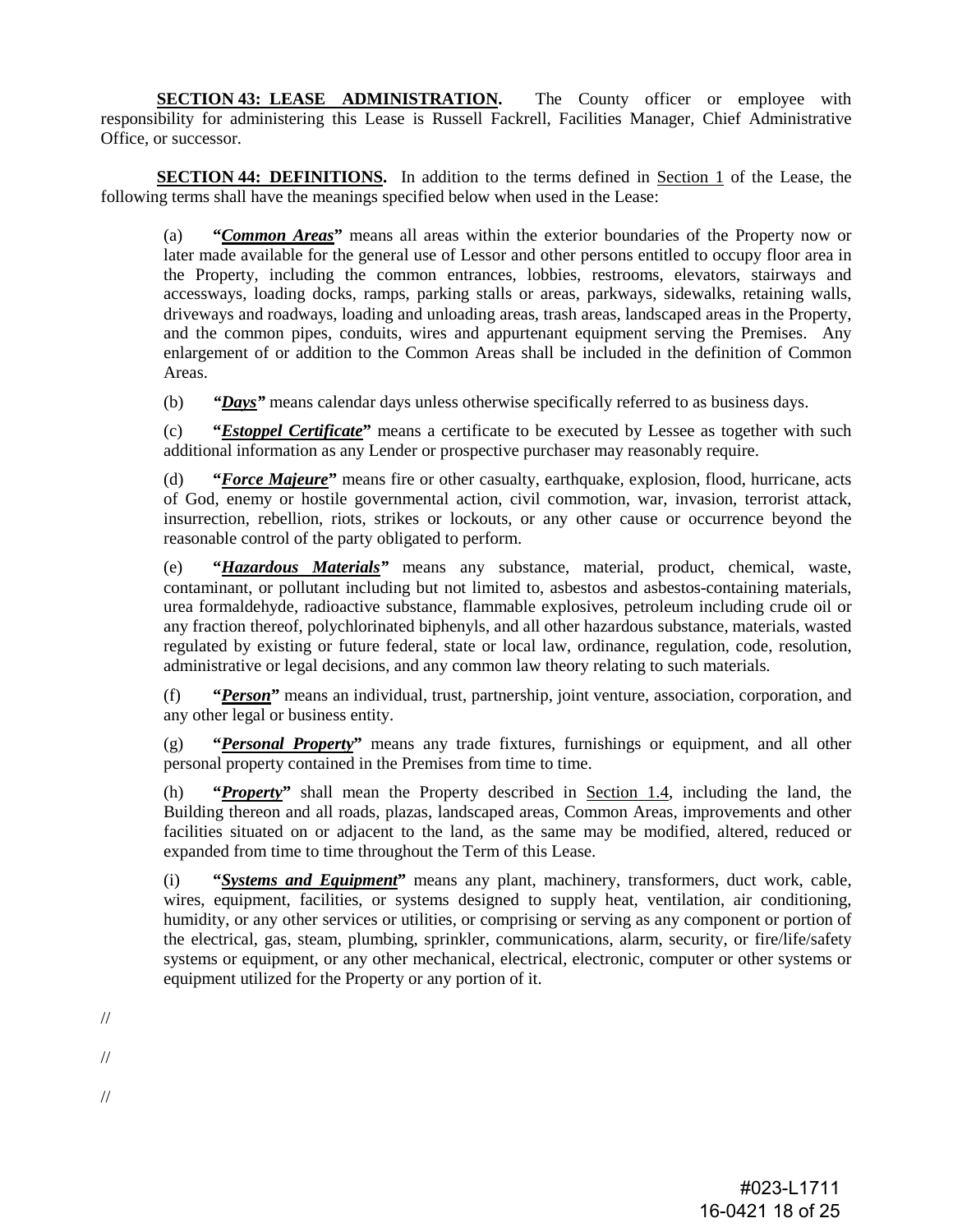**SECTION 43: LEASE ADMINISTRATION.** The County officer or employee with responsibility for administering this Lease is Russell Fackrell, Facilities Manager, Chief Administrative Office, or successor.

**SECTION 44: DEFINITIONS.** In addition to the terms defined in Section 1 of the Lease, the following terms shall have the meanings specified below when used in the Lease:

(a) **"***Common Areas***"** means all areas within the exterior boundaries of the Property now or later made available for the general use of Lessor and other persons entitled to occupy floor area in the Property, including the common entrances, lobbies, restrooms, elevators, stairways and accessways, loading docks, ramps, parking stalls or areas, parkways, sidewalks, retaining walls, driveways and roadways, loading and unloading areas, trash areas, landscaped areas in the Property, and the common pipes, conduits, wires and appurtenant equipment serving the Premises. Any enlargement of or addition to the Common Areas shall be included in the definition of Common Areas.

(b) *"Days"* means calendar days unless otherwise specifically referred to as business days.

(c) **"***Estoppel Certificate***"** means a certificate to be executed by Lessee as together with such additional information as any Lender or prospective purchaser may reasonably require.

(d) **"***Force Majeure***"** means fire or other casualty, earthquake, explosion, flood, hurricane, acts of God, enemy or hostile governmental action, civil commotion, war, invasion, terrorist attack, insurrection, rebellion, riots, strikes or lockouts, or any other cause or occurrence beyond the reasonable control of the party obligated to perform.

(e) **"***Hazardous Materials"* means any substance, material, product, chemical, waste, contaminant, or pollutant including but not limited to, asbestos and asbestos-containing materials, urea formaldehyde, radioactive substance, flammable explosives, petroleum including crude oil or any fraction thereof, polychlorinated biphenyls, and all other hazardous substance, materials, wasted regulated by existing or future federal, state or local law, ordinance, regulation, code, resolution, administrative or legal decisions, and any common law theory relating to such materials.

(f) **"***Person***"** means an individual, trust, partnership, joint venture, association, corporation, and any other legal or business entity.

(g) **"***Personal Property***"** means any trade fixtures, furnishings or equipment, and all other personal property contained in the Premises from time to time.

(h) **"***Property***"** shall mean the Property described in Section 1.4, including the land, the Building thereon and all roads, plazas, landscaped areas, Common Areas, improvements and other facilities situated on or adjacent to the land, as the same may be modified, altered, reduced or expanded from time to time throughout the Term of this Lease.

(i) **"***Systems and Equipment***"** means any plant, machinery, transformers, duct work, cable, wires, equipment, facilities, or systems designed to supply heat, ventilation, air conditioning, humidity, or any other services or utilities, or comprising or serving as any component or portion of the electrical, gas, steam, plumbing, sprinkler, communications, alarm, security, or fire/life/safety systems or equipment, or any other mechanical, electrical, electronic, computer or other systems or equipment utilized for the Property or any portion of it.

//

//

//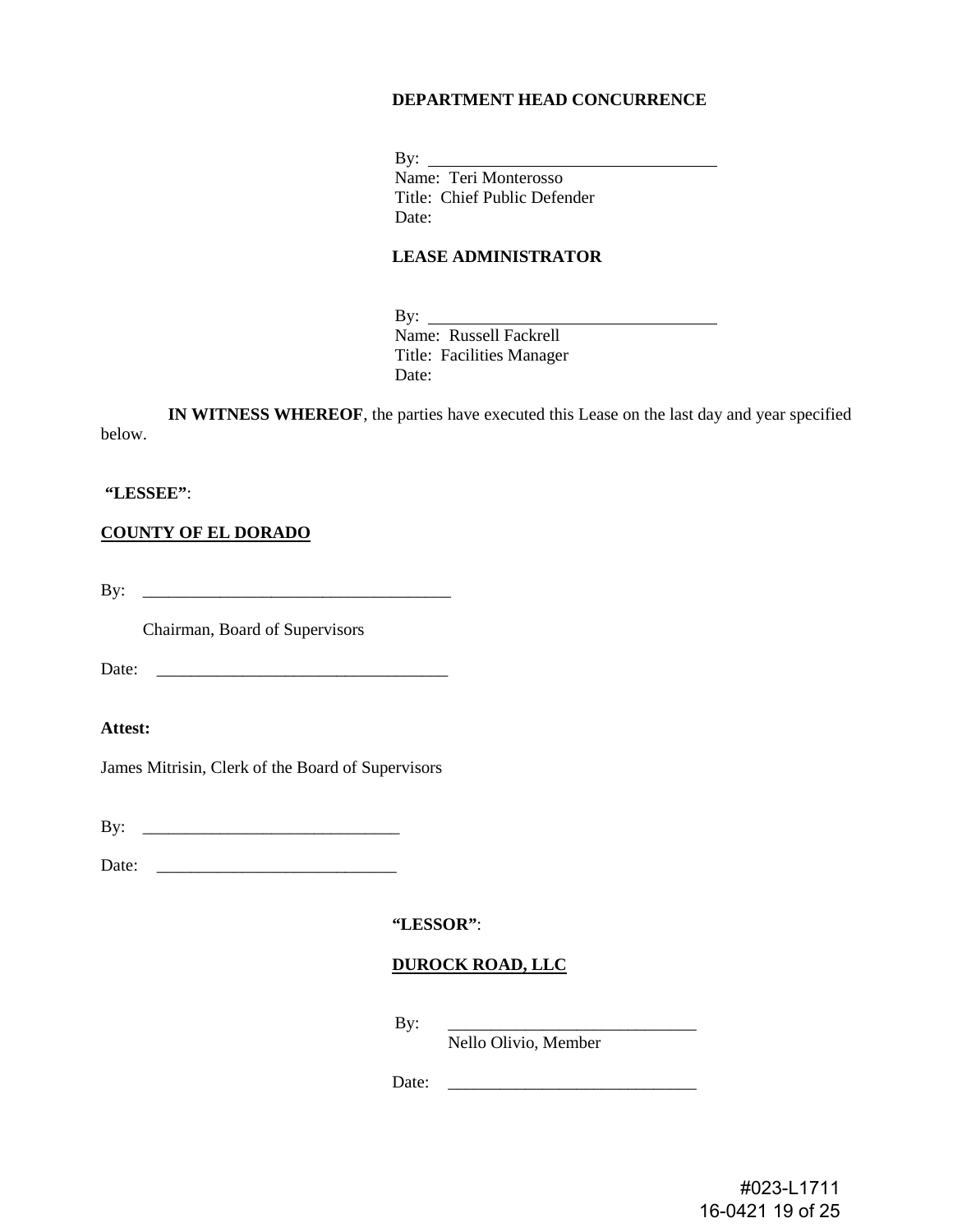#### **DEPARTMENT HEAD CONCURRENCE**

By:  $\_\_$ Name: Teri Monterosso Title: Chief Public Defender Date:

#### **LEASE ADMINISTRATOR**

By:  $\_\_$ Name: Russell Fackrell Title: Facilities Manager Date:

**IN WITNESS WHEREOF**, the parties have executed this Lease on the last day and year specified below.

#### **"LESSEE"**:

**COUNTY OF EL DORADO**

By: \_\_\_\_\_\_\_\_\_\_\_\_\_\_\_\_\_\_\_\_\_\_\_\_\_\_\_\_\_\_\_\_\_\_\_\_

Chairman, Board of Supervisors

Date: \_\_\_\_\_\_\_\_\_\_\_\_\_\_\_\_\_\_\_\_\_\_\_\_\_\_\_\_\_\_\_\_\_\_

**Attest:**

James Mitrisin, Clerk of the Board of Supervisors

By: \_\_\_\_\_\_\_\_\_\_\_\_\_\_\_\_\_\_\_\_\_\_\_\_\_\_\_\_\_\_

Date: \_\_\_\_\_\_\_\_\_\_\_\_\_\_\_\_\_\_\_\_\_\_\_\_\_\_\_\_

**"LESSOR"**:

#### **DUROCK ROAD, LLC**

By: \_\_\_\_\_\_\_\_\_\_\_\_\_\_\_\_\_\_\_\_\_\_\_\_\_\_\_\_\_

Nello Olivio, Member

Date: \_\_\_\_\_\_\_\_\_\_\_\_\_\_\_\_\_\_\_\_\_\_\_\_\_\_\_\_\_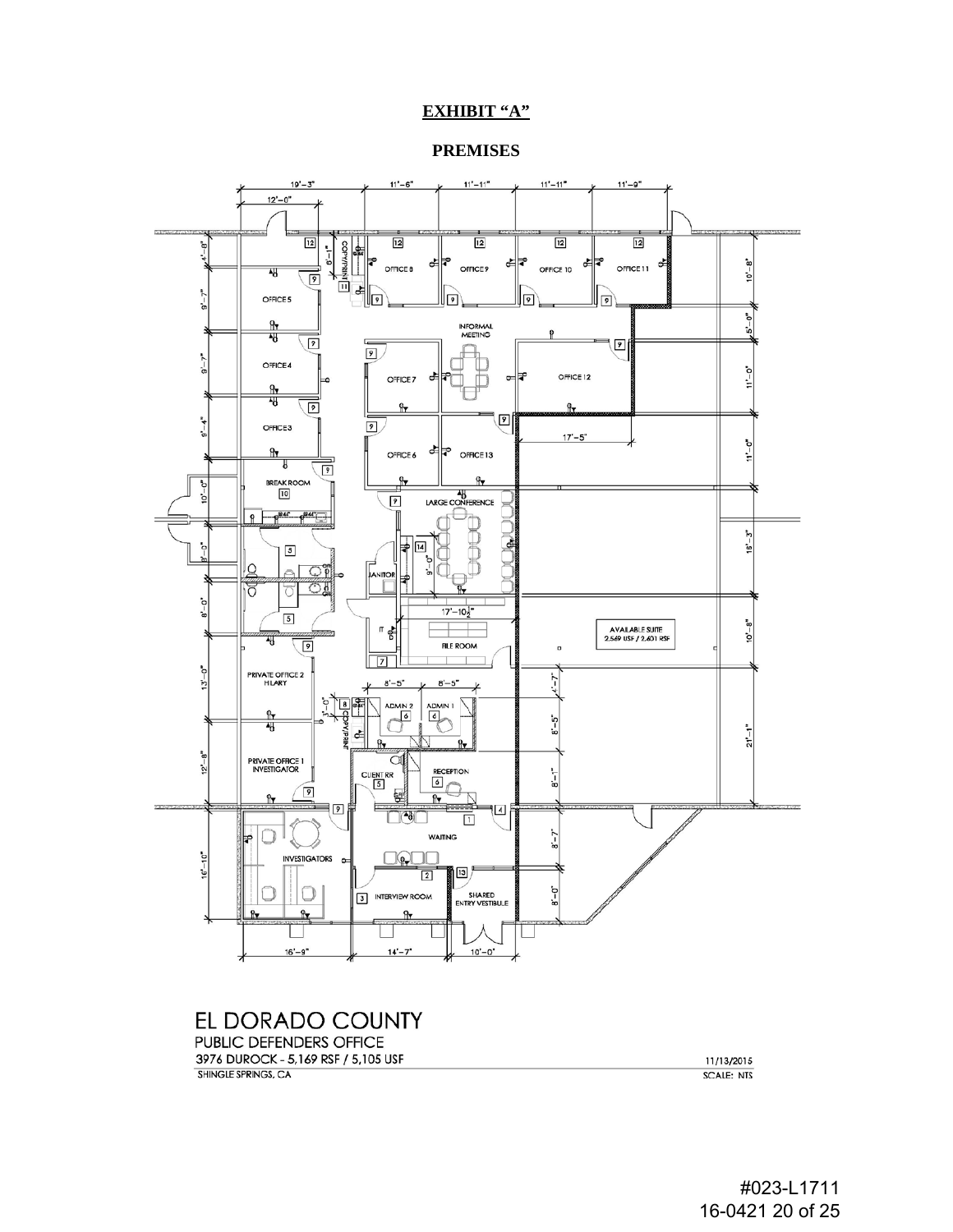# **EXHIBIT "A"**

**PREMISES**



EL DORADO COUNTY PUBLIC DEFENDERS OFFICE

3976 DUROCK - 5,169 RSF / 5,105 USF SHINGLE SPRINGS, CA

11/13/2015 **SCALE: NTS**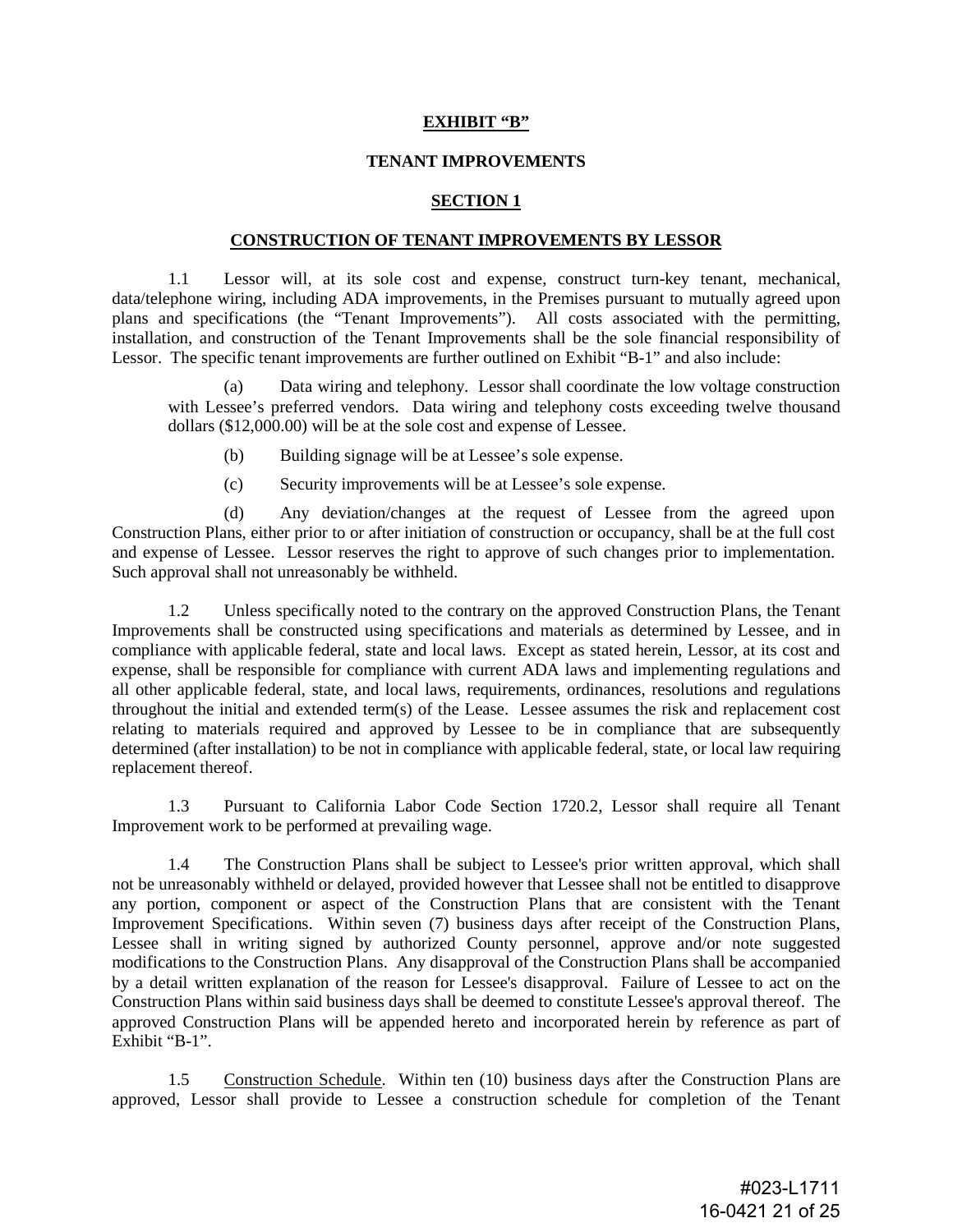#### **EXHIBIT "B"**

#### **TENANT IMPROVEMENTS**

#### **SECTION 1**

# **CONSTRUCTION OF TENANT IMPROVEMENTS BY LESSOR**

1.1 Lessor will, at its sole cost and expense, construct turn-key tenant, mechanical, data/telephone wiring, including ADA improvements, in the Premises pursuant to mutually agreed upon plans and specifications (the "Tenant Improvements"). All costs associated with the permitting, installation, and construction of the Tenant Improvements shall be the sole financial responsibility of Lessor. The specific tenant improvements are further outlined on Exhibit "B-1" and also include:

(a) Data wiring and telephony. Lessor shall coordinate the low voltage construction with Lessee's preferred vendors. Data wiring and telephony costs exceeding twelve thousand dollars (\$12,000.00) will be at the sole cost and expense of Lessee.

- (b) Building signage will be at Lessee's sole expense.
- (c) Security improvements will be at Lessee's sole expense.

(d) Any deviation/changes at the request of Lessee from the agreed upon Construction Plans, either prior to or after initiation of construction or occupancy, shall be at the full cost and expense of Lessee. Lessor reserves the right to approve of such changes prior to implementation. Such approval shall not unreasonably be withheld.

1.2 Unless specifically noted to the contrary on the approved Construction Plans, the Tenant Improvements shall be constructed using specifications and materials as determined by Lessee, and in compliance with applicable federal, state and local laws. Except as stated herein, Lessor, at its cost and expense, shall be responsible for compliance with current ADA laws and implementing regulations and all other applicable federal, state, and local laws, requirements, ordinances, resolutions and regulations throughout the initial and extended term(s) of the Lease. Lessee assumes the risk and replacement cost relating to materials required and approved by Lessee to be in compliance that are subsequently determined (after installation) to be not in compliance with applicable federal, state, or local law requiring replacement thereof.

1.3 Pursuant to California Labor Code Section 1720.2, Lessor shall require all Tenant Improvement work to be performed at prevailing wage.

1.4 The Construction Plans shall be subject to Lessee's prior written approval, which shall not be unreasonably withheld or delayed, provided however that Lessee shall not be entitled to disapprove any portion, component or aspect of the Construction Plans that are consistent with the Tenant Improvement Specifications. Within seven (7) business days after receipt of the Construction Plans, Lessee shall in writing signed by authorized County personnel, approve and/or note suggested modifications to the Construction Plans. Any disapproval of the Construction Plans shall be accompanied by a detail written explanation of the reason for Lessee's disapproval. Failure of Lessee to act on the Construction Plans within said business days shall be deemed to constitute Lessee's approval thereof. The approved Construction Plans will be appended hereto and incorporated herein by reference as part of Exhibit "B-1".

1.5 Construction Schedule. Within ten (10) business days after the Construction Plans are approved, Lessor shall provide to Lessee a construction schedule for completion of the Tenant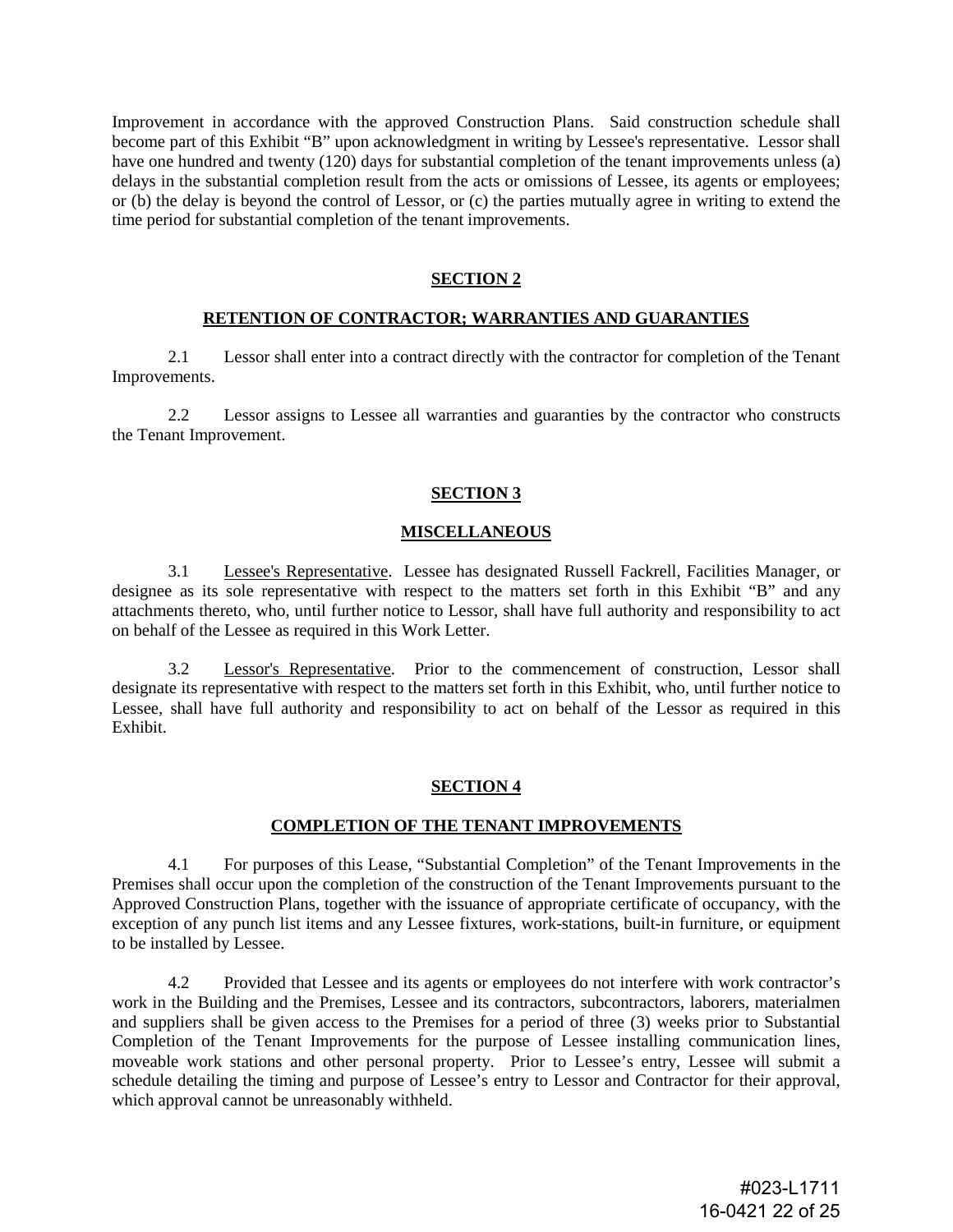Improvement in accordance with the approved Construction Plans. Said construction schedule shall become part of this Exhibit "B" upon acknowledgment in writing by Lessee's representative. Lessor shall have one hundred and twenty (120) days for substantial completion of the tenant improvements unless (a) delays in the substantial completion result from the acts or omissions of Lessee, its agents or employees; or (b) the delay is beyond the control of Lessor, or (c) the parties mutually agree in writing to extend the time period for substantial completion of the tenant improvements.

# **SECTION 2**

#### **RETENTION OF CONTRACTOR; WARRANTIES AND GUARANTIES**

2.1 Lessor shall enter into a contract directly with the contractor for completion of the Tenant Improvements.

2.2 Lessor assigns to Lessee all warranties and guaranties by the contractor who constructs the Tenant Improvement.

#### **SECTION 3**

#### **MISCELLANEOUS**

3.1 Lessee's Representative. Lessee has designated Russell Fackrell, Facilities Manager, or designee as its sole representative with respect to the matters set forth in this Exhibit "B" and any attachments thereto, who, until further notice to Lessor, shall have full authority and responsibility to act on behalf of the Lessee as required in this Work Letter.

3.2 Lessor's Representative. Prior to the commencement of construction, Lessor shall designate its representative with respect to the matters set forth in this Exhibit, who, until further notice to Lessee, shall have full authority and responsibility to act on behalf of the Lessor as required in this Exhibit.

#### **SECTION 4**

#### **COMPLETION OF THE TENANT IMPROVEMENTS**

4.1 For purposes of this Lease, "Substantial Completion" of the Tenant Improvements in the Premises shall occur upon the completion of the construction of the Tenant Improvements pursuant to the Approved Construction Plans, together with the issuance of appropriate certificate of occupancy, with the exception of any punch list items and any Lessee fixtures, work-stations, built-in furniture, or equipment to be installed by Lessee.

4.2 Provided that Lessee and its agents or employees do not interfere with work contractor's work in the Building and the Premises, Lessee and its contractors, subcontractors, laborers, materialmen and suppliers shall be given access to the Premises for a period of three (3) weeks prior to Substantial Completion of the Tenant Improvements for the purpose of Lessee installing communication lines, moveable work stations and other personal property. Prior to Lessee's entry, Lessee will submit a schedule detailing the timing and purpose of Lessee's entry to Lessor and Contractor for their approval, which approval cannot be unreasonably withheld.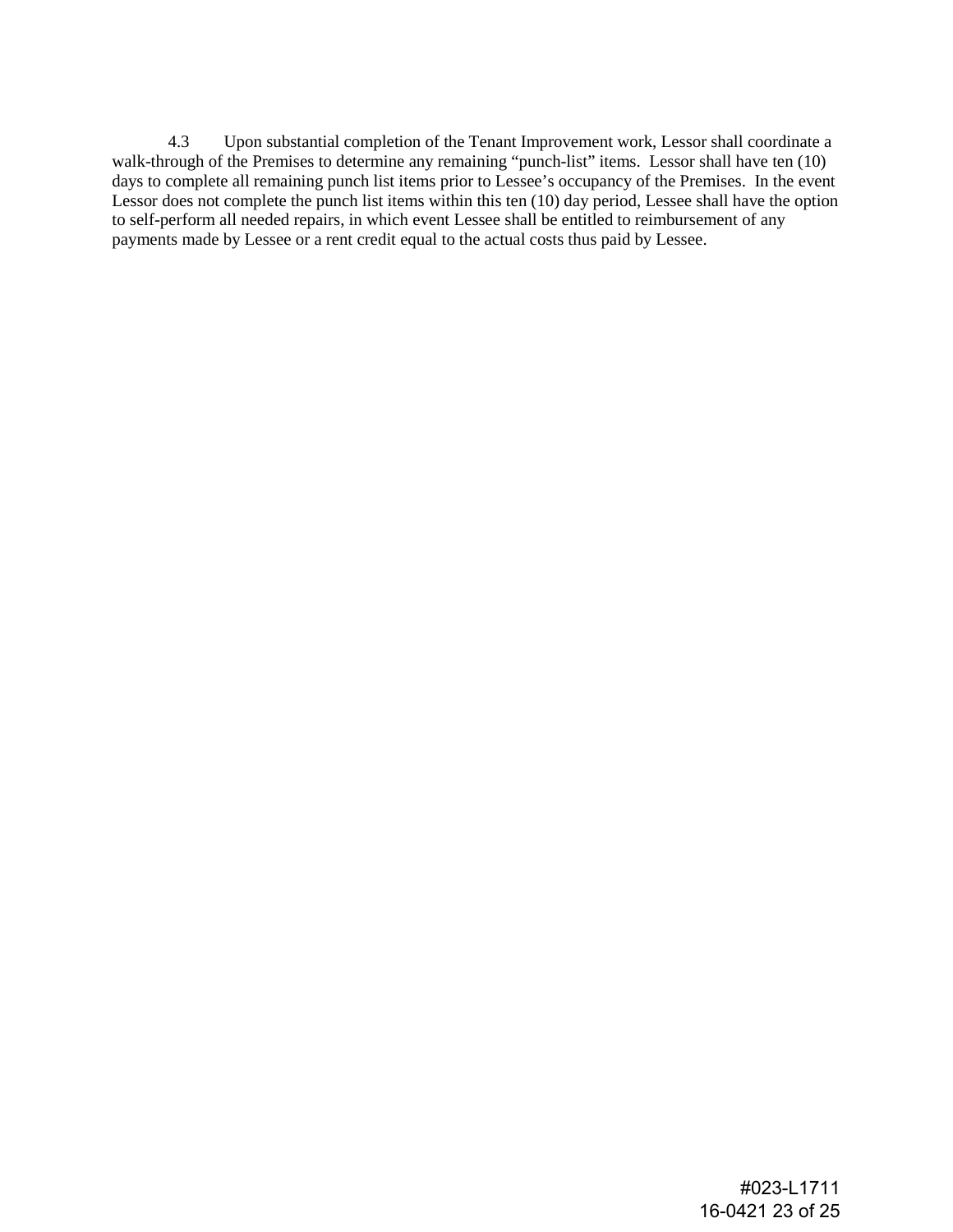4.3 Upon substantial completion of the Tenant Improvement work, Lessor shall coordinate a walk-through of the Premises to determine any remaining "punch-list" items. Lessor shall have ten (10) days to complete all remaining punch list items prior to Lessee's occupancy of the Premises. In the event Lessor does not complete the punch list items within this ten (10) day period, Lessee shall have the option to self-perform all needed repairs, in which event Lessee shall be entitled to reimbursement of any payments made by Lessee or a rent credit equal to the actual costs thus paid by Lessee.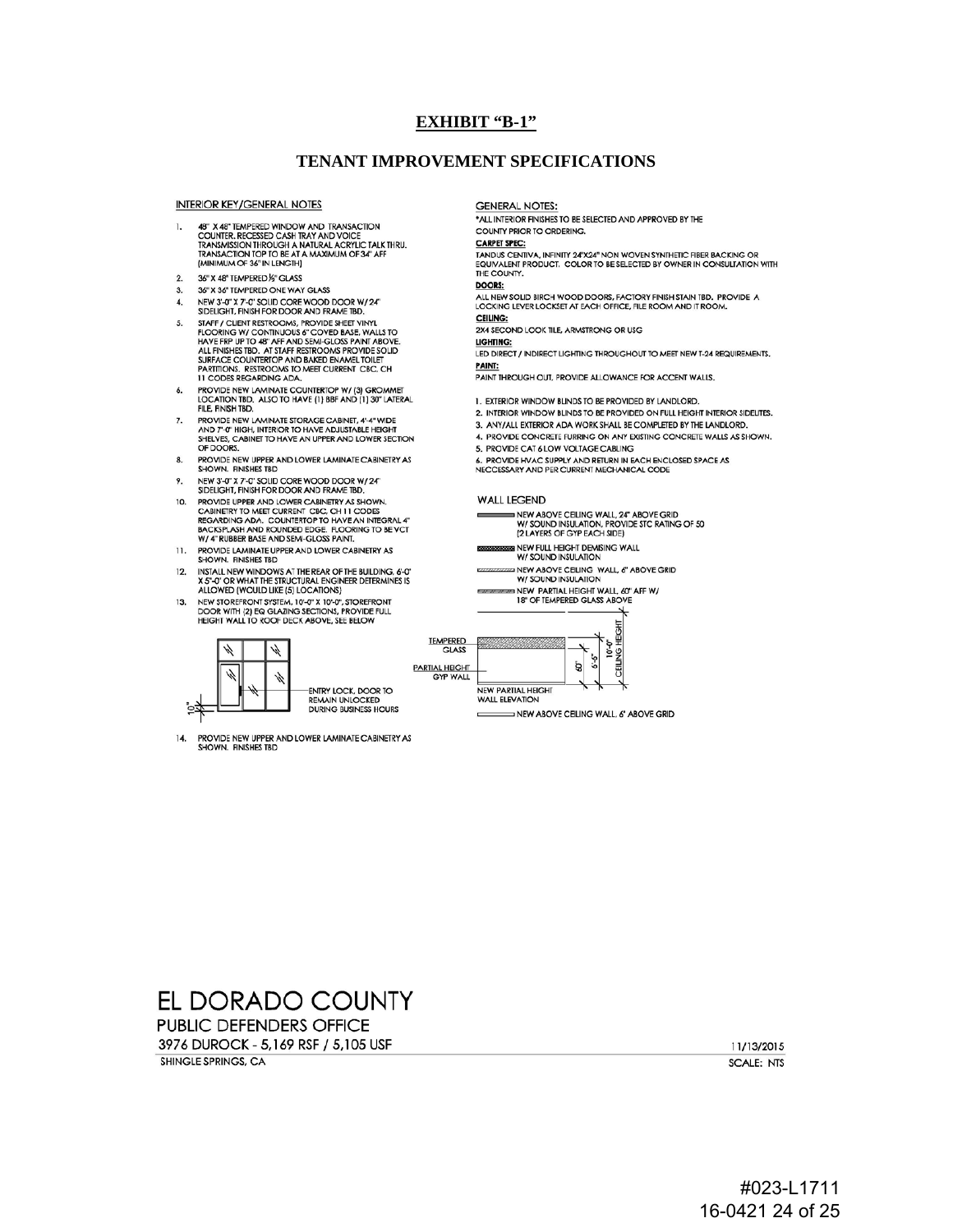#### **EXHIBIT "B-1"**

#### **TENANT IMPROVEMENT SPECIFICATIONS**

**INTERIOR KEY/GENERAL NOTES** 

- 48" X 48" TEMPERED WINDOW AND TRANSACTION<br>COUNTER, RECESSED CASH TRAY AND VOICE<br>TRANSMISSION THROUGH A NATURAL ACRYLIC TALK THRU.<br>TRANSACTION TOP TO BE AT A MAXIMUM OF 34" AFF 1. (MINIMUM OF 36" IN LENGTH)
- $\mathbf{2}$ 36" X 48" TEMPERED 1/3" GLASS
- 36" X 36" TEMPERED ONE WAY GLASS  $3.$
- NEW 3'-0" X 7'-0" SOLID CORE WOOD DOOR W/ 24"<br>SIDELIGHT, FINISH FOR DOOR AND FRAME TBD.  $\boldsymbol{A}$
- STAFF / CLIENT RESTROOMS, PROVIDE SHEET VINYL  $\overline{5}$ . SIAPH / CUENT KESIKOOMS, PROVIDE SHELT VIRTLE<br>FLOORING W/ CONTINUOUS 6" COVED BASE, WALLS TO<br>HAVE FRP UP TO 48" AFF AND SEMI-GLOSS PAINT ABOVE<br>ALL FINISHES TBD. AT SIAFF RESIROOMS PROVIDE SOLID<br>SURFACE COUNTERTOP AND BAKED 11 CODES REGARDING ADA.
- PROVIDE NEW LAMINATE COUNTERTOP W/ (3) GROMMET<br>LOCATION TBD. ALSO TO HAVE (1) BBF AND (1) 30" LATERAL 6. FILE, FINISH TBD.
- PROVIDE NEW LAMINATE STORAGE CABINET, 4'-4" WIDE  $\overline{z}$ AND 7'-0" HIGH, INTERIOR TO HAVE ADJUSTABLE HEIGHT SHELVES, CABINET TO HAVE AN UPPER AND LOWER SECTION<br>OF DOORS.
- 8. PROVIDE NEW UPPER AND LOWER LAMINATE CABINETRY AS<br>SHOWN. FINISHES TBD
- NEW 3'-0" X 7'-0" SOLID CORE WOOD DOOR W/ 24"<br>SIDELIGHT, FINISH FOR DOOR AND FRAME TBD. 9.
- PROVIDE UPPER AND LOWER CABINETRY AS SHOWN.  $10.$ **FROM THE CURRENT CASE, CHI II CODES<br>REGARDING ADA. COUNTERTOP TO HAVE AN INTEGRAL 4"<br>BACKSPLASH ADA. COUNTERTOP TO HAVE AN INTEGRAL 4"<br>BACKSPLASH AND ROUNDED EDGE. FLOORING TO BE VCT<br>W/4" RUBBER BASE AND SEMI-GLOSS PAINT.**
- PROVIDE LAMINATE UPPER AND LOWER CABINETRY AS<br>SHOWN. FINISHES TBD 11.
- INSTALL NEW WINDOWS AT THE REAR OF THE BUILDING, 6'-0"<br>X 5"-0" OR WHAT THE STRUCTURAL ENGINEER DETERMINES IS<br>ALLOWED (WOULD LIKE (5) LOCATIONS)  $12.$
- NEW STOREFRONT SYSTEM, 10'-0" X 10'-0", STOREFRONT  $13.$ **DOOR WITH (2) EQ GLAZING SECTIONS, PROVIDE FULL<br>HEIGHT WALL TO ROOF DECK ABOVE, SEE BELOW**





PROVIDE NEW UPPER AND LOWER LAMINATE CABINETRY AS  $14.$ SHOWN. FINISHES TBD

**GENERAL NOTES:** 

\*ALL INTERIOR FINISHES TO BE SELECTED AND APPROVED BY THE COUNTY PRIOR TO ORDERING.

**CARPET SPEC:** 

TANDUS CENTIVA, INFINITY 24"X24" NON WOVEN SYNTHETIC FIBER BACKING OR<br>EQUIVALENT PRODUCT. COLOR TO BE SELECTED BY OWNER IN CONSULTATION WITH THE COUNTY.

**DOORS:** 

ALL NEW SOLID BIRCH WOOD DOORS, FACTORY FINISH STAIN TBD. PROVIDE A LOCKING LEVER LOCKSET AT EACH OFFICE, FILE ROOM AND IT ROOM.

CEILING:

2X4 SECOND LOOK TILE, ARMSTRONG OR USG LIGHTING:

LED DIRECT / INDIRECT LIGHTING THROUGHOUT TO MEET NEW T-24 REQUIREMENTS. PAINT:

PAINT THROUGH OUT, PROVIDE ALLOWANCE FOR ACCENT WALLS.

- 1. EXTERIOR WINDOW BUNDS TO BE PROVIDED BY LANDLORD.
- 2. INTERIOR WINDOW BLINDS TO BE PROVIDED ON FULL HEIGHT INTERIOR SIDELITES.
- 3. ANY/ALL EXTERIOR ADA WORK SHALL BE COMPLETED BY THE LANDLORD.
- 4. PROVIDE CONCRETE FURRING ON ANY EXISTING CONCRETE WALLS AS SHOWN.
- 5. PROVIDE CAT 6 LOW VOLTAGE CABLING
- 6. PROVIDE HVAC SUPPLY AND RETURN IN EACH ENCLOSED SPACE AS<br>NECCESSARY AND PER CURRENT MECHANICAL CODE
- 

#### **WALL LEGEND**

- NEW ABOVE CEILING WALL, 24" ABOVE GRID<br>W/ SOUND INSULATION, PROVIDE STC RATING OF 50 (2 LAYERS OF GYP EACH SIDE)
- **8 NEW FULL HEIGHT DEMISING WALL<br>W/ SOUND INSULATION**
- PRESENTED THE WALL, 6" ABOVE GRID W/ SOUND INSULATION
- NEW PARTIAL HEIGHT WALL, 60" AFF W/<br>18" OF TEMPERED GLASS ABOVE



NEW PARTIAL HEIGHT

NEW ABOVE CEILING WALL, 6" ABOVE GRID

EL DORADO COUNTY

**PUBLIC DEFENDERS OFFICE** 3976 DUROCK - 5,169 RSF / 5,105 USF SHINGLE SPRINGS, CA

11/13/2015 **SCALE: NTS**